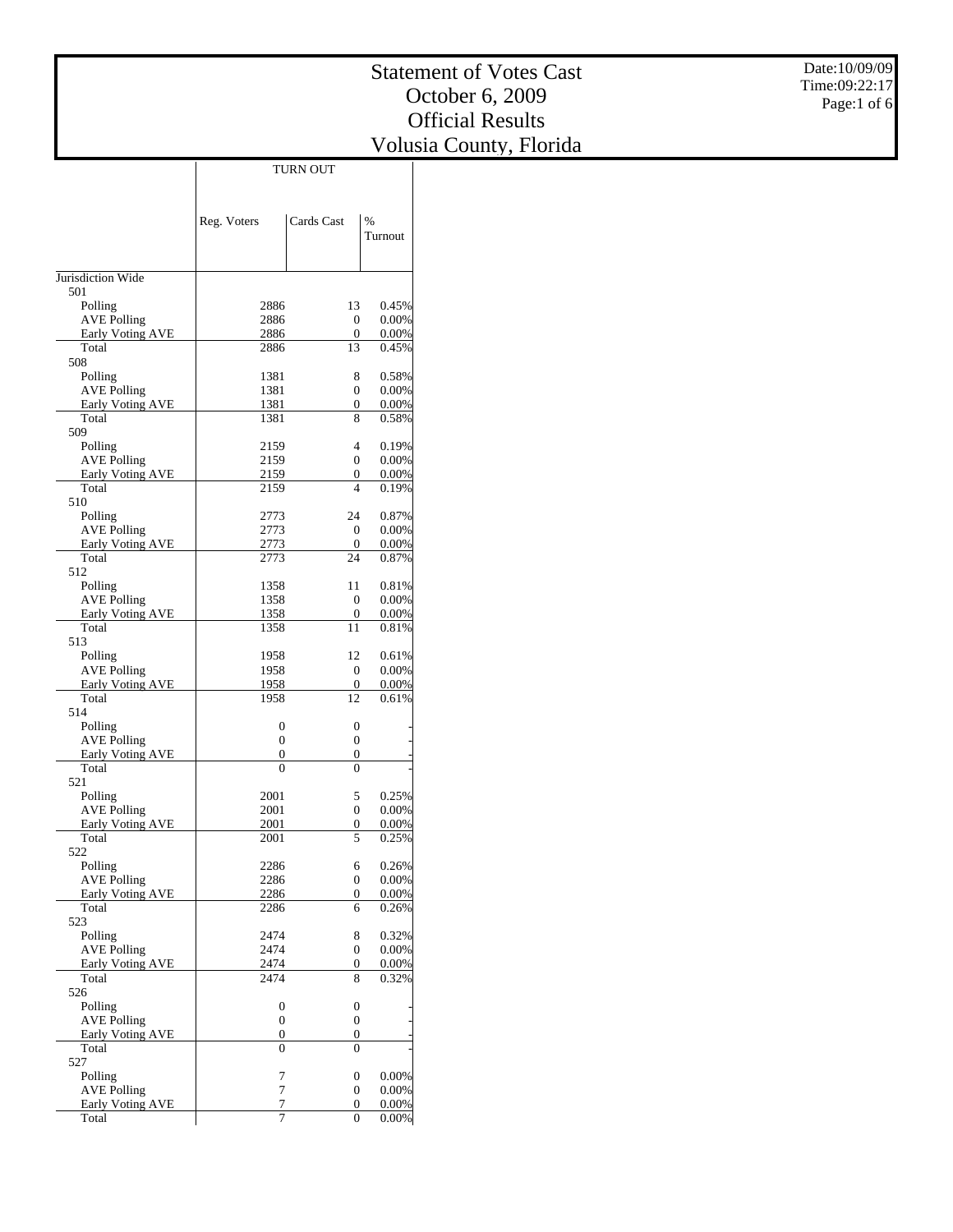| Date:10/09/09 |
|---------------|
| Time:09:22:17 |
| Page:1 of 6   |

|                                               | Reg. Voters         | Cards Cast             | $\frac{0}{0}$        |
|-----------------------------------------------|---------------------|------------------------|----------------------|
|                                               |                     |                        | Turnout              |
|                                               |                     |                        |                      |
| Jurisdiction Wide                             |                     |                        |                      |
| 501                                           |                     |                        |                      |
| Polling                                       | 2886                | 13                     | 0.45%                |
| <b>AVE Polling</b>                            | 2886                | $\boldsymbol{0}$       | $0.00\%$             |
| <b>Early Voting AVE</b><br>Total              | 2886<br>2886        | 0<br>13                | $0.00\%$<br>0.45%    |
| 508                                           |                     |                        |                      |
| Polling                                       | 1381                | 8                      | 0.58%                |
| <b>AVE Polling</b>                            | 1381                | $\boldsymbol{0}$       | $0.00\%$             |
| <b>Early Voting AVE</b>                       | 1381                | 0                      | 0.00%                |
| Total                                         | 1381                | 8                      | 0.58%                |
| 509<br>Polling                                | 2159                | 4                      | $0.19\%$             |
| <b>AVE Polling</b>                            | 2159                | $\Omega$               | $0.00\%$             |
| <b>Early Voting AVE</b>                       | 2159                | 0                      | 0.00%                |
| Total                                         | 2159                | 4                      | 0.19%                |
| 510                                           |                     |                        |                      |
| Polling                                       | 2773                | 24                     | 0.87%                |
| <b>AVE Polling</b>                            | 2773                | $\overline{0}$         | $0.00\%$             |
| <b>Early Voting AVE</b><br>Total              | 2773<br>2773        | 0<br>24                | 0.00%<br>0.87%       |
| 512                                           |                     |                        |                      |
| Polling                                       | 1358                | 11                     | $0.81\%$             |
| <b>AVE Polling</b>                            | 1358                | $\boldsymbol{0}$       | $0.00\%$             |
| <b>Early Voting AVE</b>                       | 1358                | 0                      | $0.00\%$             |
| Total                                         | 1358                | 11                     | 0.81%                |
| 513                                           |                     |                        |                      |
| Polling                                       | 1958<br>1958        | 12<br>$\boldsymbol{0}$ | 0.61%<br>$0.00\%$    |
| <b>AVE Polling</b><br><b>Early Voting AVE</b> | 1958                | 0                      | 0.00%                |
| Total                                         | 1958                | 12                     | 0.61%                |
| 514                                           |                     |                        |                      |
| Polling                                       | $\boldsymbol{0}$    | $\overline{0}$         |                      |
| <b>AVE Polling</b>                            | $\boldsymbol{0}$    | $\boldsymbol{0}$       |                      |
| <b>Early Voting AVE</b>                       | 0                   | 0                      |                      |
| Total<br>521                                  | $\theta$            | $\theta$               |                      |
| Polling                                       | 2001                | 5                      | 0.25%                |
| <b>AVE Polling</b>                            | 2001                | $\boldsymbol{0}$       | $0.00\%$             |
| <b>Early Voting AVE</b>                       | 2001                | 0                      | 0.00%                |
| Total                                         | 2001                | 5                      | 0.25%                |
| 522                                           |                     |                        |                      |
| Polling                                       | 2286<br>2286        | 6                      | 0.26%                |
| <b>AVE Polling</b>                            | 2286                | $\overline{0}$<br>0    | $0.00\%$<br>$0.00\%$ |
| <u>Early Voting AVE</u><br>Total              | 2286                | 6                      | 0.26%                |
| 523                                           |                     |                        |                      |
| Polling                                       | 2474                | 8                      | 0.32%                |
| <b>AVE Polling</b>                            | 2474                | $\boldsymbol{0}$       | 0.00%                |
| Early Voting AVE                              | 2474                | $\boldsymbol{0}$       | $0.00\%$             |
| Total<br>526                                  | 2474                | 8                      | 0.32%                |
| Polling                                       | 0                   | 0                      |                      |
| <b>AVE Polling</b>                            | $\boldsymbol{0}$    | $\boldsymbol{0}$       |                      |
| <b>Early Voting AVE</b>                       | 0                   | $\boldsymbol{0}$       |                      |
| Total                                         | $\theta$            | $\theta$               |                      |
| 527                                           |                     |                        |                      |
| Polling                                       | 7                   | 0                      | 0.00%                |
| <b>AVE Polling</b><br>Early Voting AVE        | $\overline{7}$<br>7 | 0<br>0                 | $0.00\%$<br>$0.00\%$ |
| Total                                         | 7                   | $\boldsymbol{0}$       | $0.00\%$             |
|                                               |                     |                        |                      |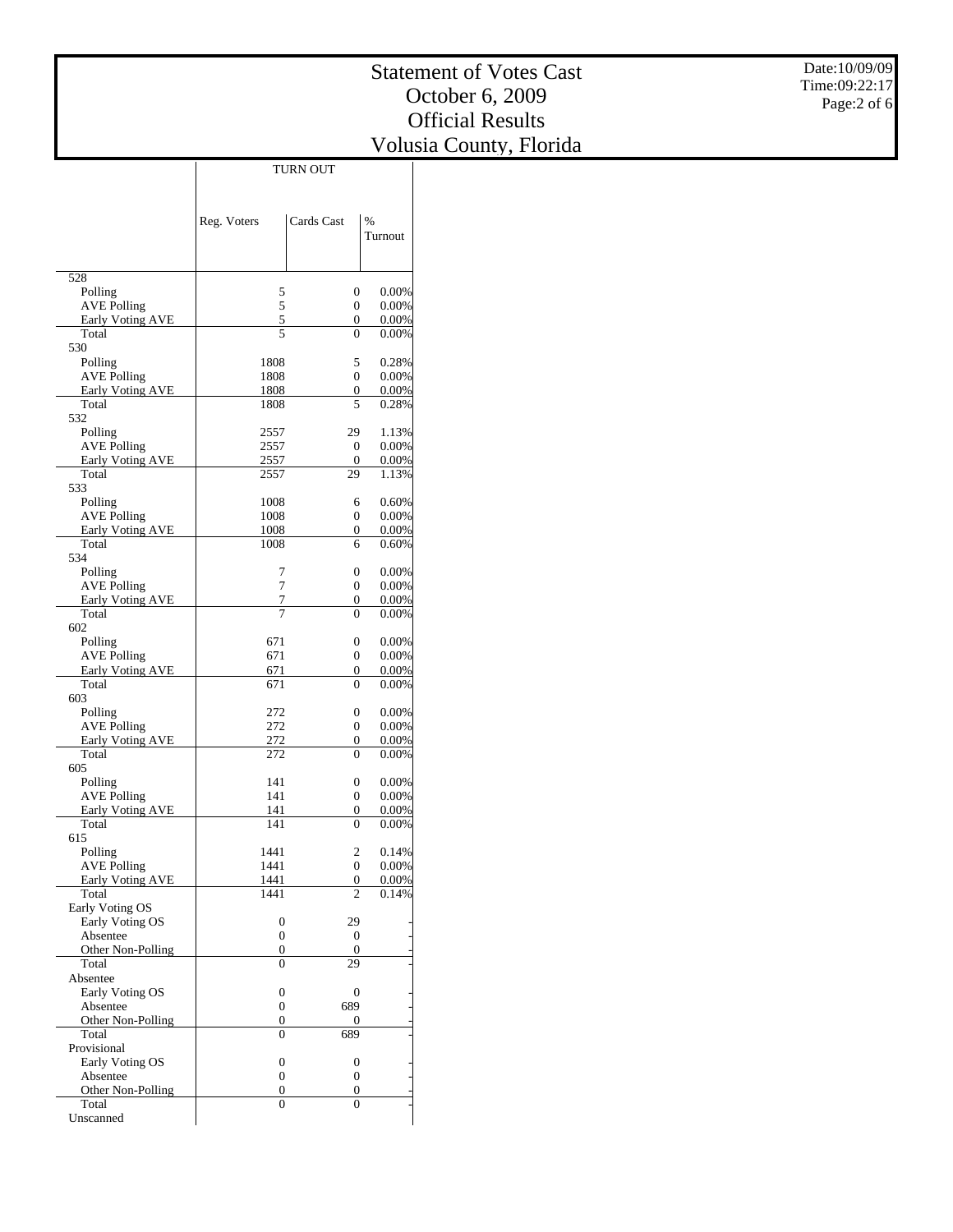$\mathbb{R}$ 

 $\overline{\phantom{a}}$ 

|                                  | Reg. Voters    | Cards Cast                       | %              |
|----------------------------------|----------------|----------------------------------|----------------|
|                                  |                |                                  | Turnout        |
| 528                              |                |                                  |                |
| Polling                          | 5              | $\boldsymbol{0}$                 | 0.00%          |
| <b>AVE Polling</b>               | 5              | $\overline{0}$                   | 0.00%          |
| Early Voting AVE                 | $\overline{5}$ | $\overline{0}$                   | 0.00%          |
| Total                            | 5              | $\overline{0}$                   | 0.00%          |
| 530                              |                |                                  |                |
| Polling<br><b>AVE Polling</b>    | 1808<br>1808   | 5<br>$\boldsymbol{0}$            | 0.28%<br>0.00% |
| Early Voting AVE                 | 1808           | 0                                | 0.00%          |
| Total                            | 1808           | 5                                | 0.28%          |
| 532                              |                |                                  |                |
| Polling                          | 2557           | 29                               | 1.13%          |
| <b>AVE Polling</b>               | 2557           | $\mathbf{0}$                     | 0.00%          |
| Early Voting AVE                 | 2557           | $\boldsymbol{0}$                 | 0.00%          |
| Total<br>533                     | 2557           | 29                               | 1.13%          |
| Polling                          | 1008           | 6                                | 0.60%          |
| <b>AVE Polling</b>               | 1008           | $\boldsymbol{0}$                 | 0.00%          |
| Early Voting AVE                 | 1008           | 0                                | 0.00%          |
| Total                            | 1008           | 6                                | 0.60%          |
| 534                              |                |                                  |                |
| Polling                          | 7              | $\overline{0}$                   | 0.00%          |
| <b>AVE Polling</b>               | 7              | $\boldsymbol{0}$                 | 0.00%          |
| Early Voting AVE                 | 7              | 0                                | 0.00%          |
| Total<br>602                     | 7              | $\overline{0}$                   | 0.00%          |
| Polling                          | 671            | $\overline{0}$                   | 0.00%          |
| <b>AVE Polling</b>               | 671            | $\boldsymbol{0}$                 | 0.00%          |
| Early Voting AVE                 | 671            | 0                                | 0.00%          |
| Total                            | 671            | $\theta$                         | 0.00%          |
| 603                              |                |                                  |                |
| Polling                          | 272            | $\overline{0}$                   | 0.00%          |
| <b>AVE Polling</b>               | 272            | $\boldsymbol{0}$                 | 0.00%          |
| Early Voting AVE<br>Total        | 272<br>272     | 0<br>$\Omega$                    | 0.00%<br>0.00% |
| 605                              |                |                                  |                |
| Polling                          | 141            | $\overline{0}$                   | 0.00%          |
| <b>AVE Polling</b>               | 141            | $\boldsymbol{0}$                 | 0.00%          |
| Early Voting AVE                 | 141            | 0                                | 0.00%          |
| Total                            | 141            | $\Omega$                         | 0.00%          |
| 615                              |                |                                  |                |
| Polling                          | 1441           | 2                                | 0.14%          |
| <b>AVE Polling</b>               | 1441           | $\overline{0}$<br>$\overline{0}$ | 0.00%<br>0.00% |
| <b>Early Voting AVE</b><br>Total | 1441<br>1441   | $\overline{2}$                   | 0.14%          |
| Early Voting OS                  |                |                                  |                |
| Early Voting OS                  | 0              | 29                               |                |
| Absentee                         | 0              | $\boldsymbol{0}$                 |                |
| Other Non-Polling                | $\mathbf{0}$   | $\boldsymbol{0}$                 |                |
| Total                            | $\theta$       | 29                               |                |
| Absentee                         |                |                                  |                |
| Early Voting OS                  | 0              | $\boldsymbol{0}$                 |                |
| Absentee<br>Other Non-Polling    | 0<br>0         | 689<br>$\boldsymbol{0}$          |                |
| Total                            | $\overline{0}$ | 689                              |                |
| Provisional                      |                |                                  |                |
| Early Voting OS                  | $\mathbf{0}$   | 0                                |                |
| Absentee                         | 0              | 0                                |                |
| Other Non-Polling                | 0              | 0                                |                |
| Total                            | $\overline{0}$ | $\theta$                         |                |
| Unscanned                        |                |                                  |                |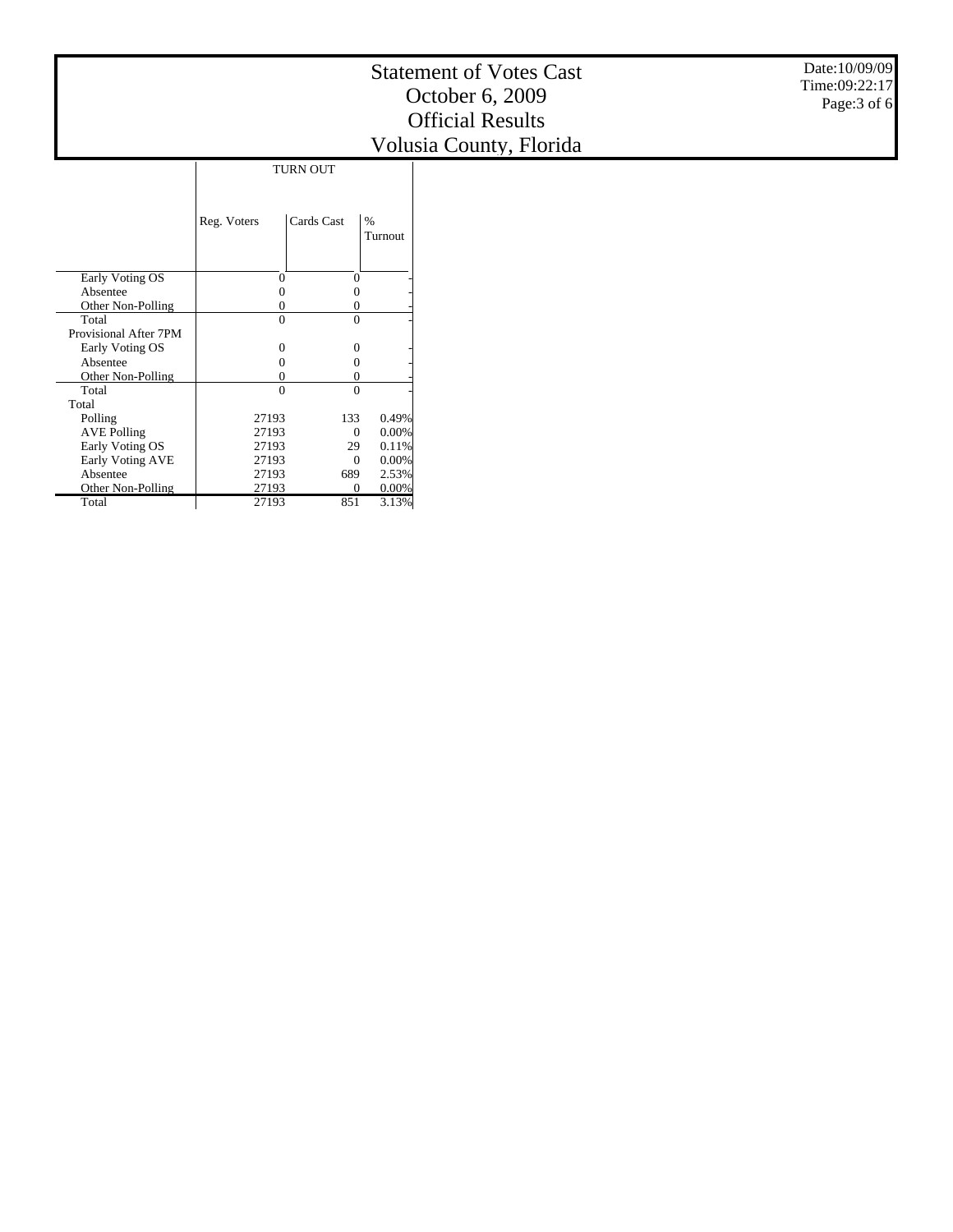|                       | Reg. Voters       | Cards Cast | $\frac{0}{0}$<br>Turnout |
|-----------------------|-------------------|------------|--------------------------|
| Early Voting OS       | 0                 | $\Omega$   |                          |
| Absentee              |                   |            |                          |
| Other Non-Polling     |                   |            |                          |
| Total                 | 0                 | 0          |                          |
| Provisional After 7PM |                   |            |                          |
| Early Voting OS       | $\mathbf{\Omega}$ | 0          |                          |
| Absentee              |                   | 0          |                          |
| Other Non-Polling     |                   | 0          |                          |
| Total                 | $\Omega$          | $\Omega$   |                          |
| Total                 |                   |            |                          |
| Polling               | 27193             | 133        | 0.49%                    |
| <b>AVE Polling</b>    | 27193             | 0          | 0.00%                    |
| Early Voting OS       | 27193             | 29         | 0.11%                    |
| Early Voting AVE      | 27193             | $\Omega$   | 0.00%                    |
| Absentee              | 27193             | 689        | 2.53%                    |
| Other Non-Polling     | 27193             | 0          | $0.00\%$                 |
| Total                 | 27193             | 851        | 3.13%                    |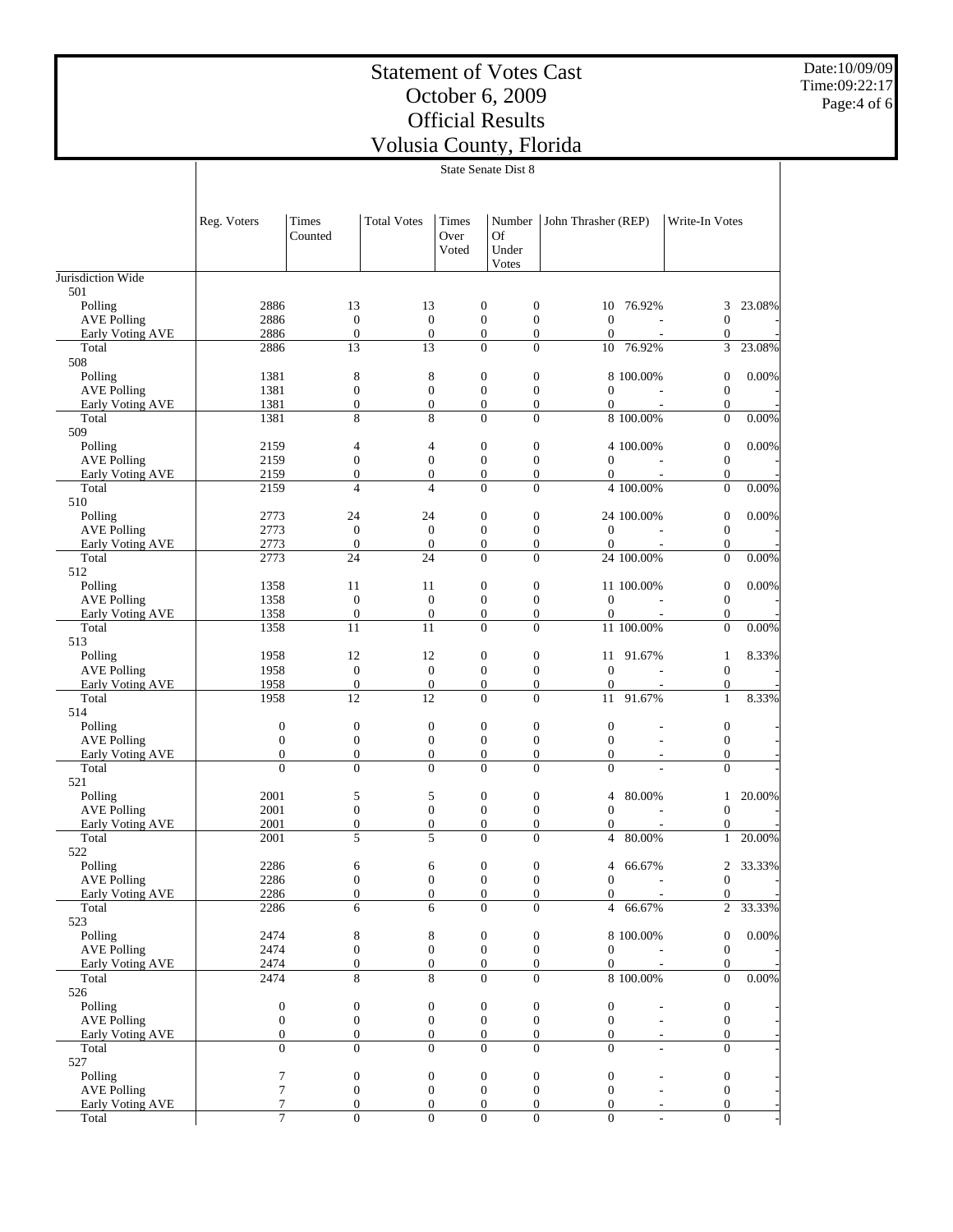Date:10/09/09 Time:09:22:17 Page:4 of 6

|                                               | State Senate Dist 8                |                                    |                                      |                        |                                                                          |                                    |                       |                                  |          |
|-----------------------------------------------|------------------------------------|------------------------------------|--------------------------------------|------------------------|--------------------------------------------------------------------------|------------------------------------|-----------------------|----------------------------------|----------|
|                                               | Reg. Voters                        | Times<br>Counted                   | <b>Total Votes</b>                   | Times<br>Over<br>Voted | Number<br>Of<br>Under                                                    | John Thrasher (REP)                |                       | Write-In Votes                   |          |
| Jurisdiction Wide                             |                                    |                                    |                                      |                        | Votes                                                                    |                                    |                       |                                  |          |
| 501                                           |                                    |                                    |                                      |                        |                                                                          |                                    |                       |                                  |          |
| Polling                                       | 2886                               | 13<br>$\mathbf{0}$                 | 13                                   |                        | $\boldsymbol{0}$<br>$\boldsymbol{0}$<br>$\mathbf{0}$                     |                                    | 10 76.92%             | 3                                | 23.08%   |
| <b>AVE Polling</b><br><b>Early Voting AVE</b> | 2886<br>2886                       | $\boldsymbol{0}$                   | $\boldsymbol{0}$<br>$\boldsymbol{0}$ |                        | $\boldsymbol{0}$<br>$\boldsymbol{0}$<br>$\mathbf{0}$                     | $\mathbf{0}$<br>$\theta$           |                       | $\boldsymbol{0}$<br>$\mathbf{0}$ |          |
| Total                                         | 2886                               | 13                                 | 13                                   |                        | $\theta$<br>$\overline{0}$                                               |                                    | 10 76.92%             | 3                                | 23.08%   |
| 508                                           |                                    |                                    |                                      |                        |                                                                          |                                    |                       |                                  |          |
| Polling                                       | 1381                               | 8                                  | 8                                    |                        | $\boldsymbol{0}$<br>$\boldsymbol{0}$                                     |                                    | 8 100.00%             | $\mathbf{0}$                     | 0.00%    |
| <b>AVE Polling</b>                            | 1381                               | $\mathbf{0}$                       | $\boldsymbol{0}$                     |                        | $\mathbf{0}$<br>$\mathbf{0}$                                             | $\boldsymbol{0}$                   |                       | $\mathbf{0}$                     |          |
| Early Voting AVE<br>Total                     | 1381<br>1381                       | $\overline{0}$<br>8                | $\mathbf{0}$<br>8                    |                        | $\boldsymbol{0}$<br>$\mathbf{0}$<br>$\overline{0}$<br>$\overline{0}$     | $\mathbf{0}$                       | 8 100.00%             | $\mathbf{0}$<br>$\mathbf{0}$     | $0.00\%$ |
| 509                                           |                                    |                                    |                                      |                        |                                                                          |                                    |                       |                                  |          |
| Polling                                       | 2159                               | 4                                  | 4                                    |                        | $\mathbf{0}$<br>$\boldsymbol{0}$                                         |                                    | 4 100.00%             | $\mathbf{0}$                     | $0.00\%$ |
| <b>AVE Polling</b>                            | 2159                               | $\boldsymbol{0}$                   | $\boldsymbol{0}$                     |                        | $\boldsymbol{0}$<br>$\boldsymbol{0}$                                     | $\boldsymbol{0}$                   |                       | $\mathbf{0}$                     |          |
| Early Voting AVE                              | 2159                               | $\overline{0}$                     | $\overline{0}$                       |                        | $\boldsymbol{0}$<br>$\mathbf{0}$                                         | $\overline{0}$                     |                       | $\mathbf{0}$                     |          |
| Total                                         | 2159                               | $\overline{4}$                     | 4                                    |                        | $\overline{0}$<br>$\theta$                                               |                                    | 4 100.00%             | $\mathbf{0}$                     | 0.00%    |
| 510                                           |                                    |                                    |                                      |                        |                                                                          |                                    |                       |                                  |          |
| Polling<br><b>AVE Polling</b>                 | 2773<br>2773                       | 24<br>$\mathbf{0}$                 | 24<br>$\mathbf{0}$                   |                        | $\boldsymbol{0}$<br>$\boldsymbol{0}$<br>$\mathbf{0}$<br>$\mathbf{0}$     | $\mathbf{0}$                       | 24 100.00%            | $\mathbf{0}$<br>$\mathbf{0}$     | 0.00%    |
| Early Voting AVE                              | 2773                               | $\boldsymbol{0}$                   | $\mathbf{0}$                         |                        | $\boldsymbol{0}$<br>$\boldsymbol{0}$                                     | $\theta$                           |                       | $\mathbf{0}$                     |          |
| Total                                         | 2773                               | 24                                 | 24                                   |                        | $\overline{0}$<br>$\Omega$                                               |                                    | 24 100.00%            | $\mathbf{0}$                     | $0.00\%$ |
| 512                                           |                                    |                                    |                                      |                        |                                                                          |                                    |                       |                                  |          |
| Polling                                       | 1358                               | 11                                 | 11                                   |                        | $\mathbf{0}$<br>$\boldsymbol{0}$                                         |                                    | 11 100.00%            | $\mathbf{0}$                     | 0.00%    |
| <b>AVE Polling</b>                            | 1358                               | $\boldsymbol{0}$                   | $\boldsymbol{0}$                     |                        | $\boldsymbol{0}$<br>$\boldsymbol{0}$                                     | $\mathbf{0}$                       |                       | $\mathbf{0}$                     |          |
| Early Voting AVE                              | 1358                               | $\mathbf{0}$                       | $\boldsymbol{0}$                     |                        | $\boldsymbol{0}$<br>$\boldsymbol{0}$                                     | $\theta$                           |                       | $\mathbf{0}$                     |          |
| Total<br>513                                  | 1358                               | 11                                 | 11                                   |                        | $\theta$<br>$\Omega$                                                     |                                    | 11 100.00%            | $\overline{0}$                   | 0.00%    |
| Polling                                       | 1958                               | 12                                 | 12                                   |                        | $\boldsymbol{0}$<br>$\boldsymbol{0}$                                     |                                    | 11 91.67%             | $\mathbf{1}$                     | 8.33%    |
| <b>AVE Polling</b>                            | 1958                               | $\mathbf{0}$                       | $\boldsymbol{0}$                     |                        | $\mathbf{0}$<br>$\mathbf{0}$                                             | $\mathbf{0}$                       |                       | $\mathbf{0}$                     |          |
| Early Voting AVE                              | 1958                               | $\mathbf{0}$                       | $\mathbf{0}$                         |                        | $\boldsymbol{0}$<br>$\boldsymbol{0}$                                     | $\theta$                           |                       | $\mathbf{0}$                     |          |
| Total                                         | 1958                               | 12                                 | 12                                   |                        | $\mathbf{0}$<br>$\mathbf{0}$                                             | 11                                 | 91.67%                | $\mathbf{1}$                     | 8.33%    |
| 514                                           |                                    |                                    |                                      |                        |                                                                          |                                    |                       |                                  |          |
| Polling                                       | $\boldsymbol{0}$                   | $\boldsymbol{0}$                   | $\boldsymbol{0}$                     |                        | $\mathbf{0}$<br>$\boldsymbol{0}$                                         | $\boldsymbol{0}$                   |                       | $\boldsymbol{0}$                 |          |
| <b>AVE Polling</b><br>Early Voting AVE        | $\boldsymbol{0}$<br>$\overline{0}$ | $\boldsymbol{0}$<br>$\overline{0}$ | $\boldsymbol{0}$<br>$\mathbf{0}$     |                        | $\boldsymbol{0}$<br>$\boldsymbol{0}$<br>$\boldsymbol{0}$<br>$\mathbf{0}$ | $\boldsymbol{0}$<br>$\Omega$       |                       | $\mathbf{0}$<br>$\mathbf{0}$     |          |
| Total                                         | $\overline{0}$                     | $\overline{0}$                     | $\overline{0}$                       |                        | $\theta$<br>$\theta$                                                     | $\overline{0}$                     |                       | $\Omega$                         |          |
| 521                                           |                                    |                                    |                                      |                        |                                                                          |                                    |                       |                                  |          |
| Polling                                       | 2001                               | 5                                  | 5                                    |                        | $\mathbf{0}$<br>$\boldsymbol{0}$                                         | 4                                  | 80.00%                | 1                                | 20.00%   |
| <b>AVE Polling</b>                            | 2001                               | $\mathbf{0}$                       | $\boldsymbol{0}$                     |                        | $\mathbf{0}$<br>$\mathbf{0}$                                             | $\boldsymbol{0}$                   |                       | $\mathbf{0}$                     |          |
| <b>Early Voting AVE</b>                       | 2001                               | $\boldsymbol{0}$                   | $\mathbf{0}$                         |                        | $\boldsymbol{0}$<br>$\mathbf{0}$                                         | $\Omega$                           |                       | $\mathbf{0}$                     |          |
| Total                                         | 2001                               | 5                                  | 5                                    |                        | $\mathbf{0}$<br>$\theta$                                                 |                                    | $4\overline{80.00\%}$ | $\mathbf{1}$                     | 20.00%   |
| 522<br>Polling                                | 2286                               | 6                                  | 6                                    |                        | $\boldsymbol{0}$<br>$\boldsymbol{0}$                                     | 4                                  | 66.67%                | $\sqrt{2}$                       | 33.33%   |
| <b>AVE Polling</b>                            | 2286                               | $\boldsymbol{0}$                   | $\boldsymbol{0}$                     |                        | $\boldsymbol{0}$<br>$\mathbf{0}$                                         | $\boldsymbol{0}$                   |                       | $\mathbf{0}$                     |          |
| Early Voting AVE                              | 2286                               | $\overline{0}$                     | $\overline{0}$                       |                        | $\mathbf{0}$<br>$\mathbf{0}$                                             | $\overline{0}$                     |                       | $\mathbf{0}$                     |          |
| Total                                         | 2286                               | 6                                  | 6                                    |                        | $\overline{0}$<br>$\overline{0}$                                         | $\overline{4}$                     | 66.67%                | $\overline{2}$                   | 33.33%   |
| 523                                           |                                    |                                    |                                      |                        |                                                                          |                                    |                       |                                  |          |
| Polling                                       | 2474                               | $\,$ 8 $\,$                        | 8                                    |                        | $\boldsymbol{0}$<br>$\boldsymbol{0}$                                     |                                    | 8 100.00%             | $\mathbf{0}$                     | $0.00\%$ |
| <b>AVE Polling</b>                            | 2474                               | $\mathbf{0}$                       | $\boldsymbol{0}$                     |                        | $\mathbf{0}$<br>$\boldsymbol{0}$                                         | $\boldsymbol{0}$                   |                       | $\boldsymbol{0}$                 |          |
| Early Voting AVE                              | 2474                               | $\boldsymbol{0}$<br>8              | $\mathbf{0}$<br>8                    |                        | $\mathbf{0}$<br>$\mathbf{0}$<br>$\mathbf{0}$<br>$\overline{0}$           | $\boldsymbol{0}$                   | 8 100.00%             | $\mathbf{0}$<br>$\mathbf{0}$     |          |
| Total<br>526                                  | 2474                               |                                    |                                      |                        |                                                                          |                                    |                       |                                  | $0.00\%$ |
| Polling                                       | $\boldsymbol{0}$                   | $\boldsymbol{0}$                   | $\boldsymbol{0}$                     |                        | $\boldsymbol{0}$<br>$\boldsymbol{0}$                                     | $\boldsymbol{0}$                   |                       | $\boldsymbol{0}$                 |          |
| <b>AVE Polling</b>                            | $\boldsymbol{0}$                   | $\boldsymbol{0}$                   | $\boldsymbol{0}$                     |                        | $\boldsymbol{0}$<br>$\boldsymbol{0}$                                     | $\boldsymbol{0}$                   |                       | $\boldsymbol{0}$                 |          |
| <b>Early Voting AVE</b>                       | $\boldsymbol{0}$                   | $\boldsymbol{0}$                   | $\boldsymbol{0}$                     |                        | $\boldsymbol{0}$<br>$\mathbf{0}$                                         | $\mathbf{0}$                       |                       | $\mathbf{0}$                     |          |
| Total                                         | $\overline{0}$                     | $\overline{0}$                     | $\overline{0}$                       |                        | $\overline{0}$<br>$\overline{0}$                                         | $\overline{0}$                     |                       | $\mathbf{0}$                     |          |
| 527                                           |                                    |                                    |                                      |                        |                                                                          |                                    |                       |                                  |          |
| Polling                                       | 7                                  | $\boldsymbol{0}$                   | $\boldsymbol{0}$                     |                        | $\boldsymbol{0}$<br>$\boldsymbol{0}$                                     | $\boldsymbol{0}$                   |                       | $\boldsymbol{0}$                 |          |
| <b>AVE Polling</b><br>Early Voting AVE        | 7<br>$\tau$                        | $\mathbf{0}$<br>$\boldsymbol{0}$   | $\boldsymbol{0}$<br>$\boldsymbol{0}$ |                        | $\boldsymbol{0}$<br>$\mathbf{0}$<br>$\mathbf{0}$<br>$\mathbf{0}$         | $\boldsymbol{0}$<br>$\overline{0}$ |                       | $\mathbf{0}$<br>$\mathbf{0}$     |          |
| Total                                         | $\tau$                             | $\boldsymbol{0}$                   | $\boldsymbol{0}$                     |                        | $\boldsymbol{0}$<br>$\boldsymbol{0}$                                     | $\mathbf{0}$                       |                       | $\mathbf{0}$                     |          |
|                                               |                                    |                                    |                                      |                        |                                                                          |                                    |                       |                                  |          |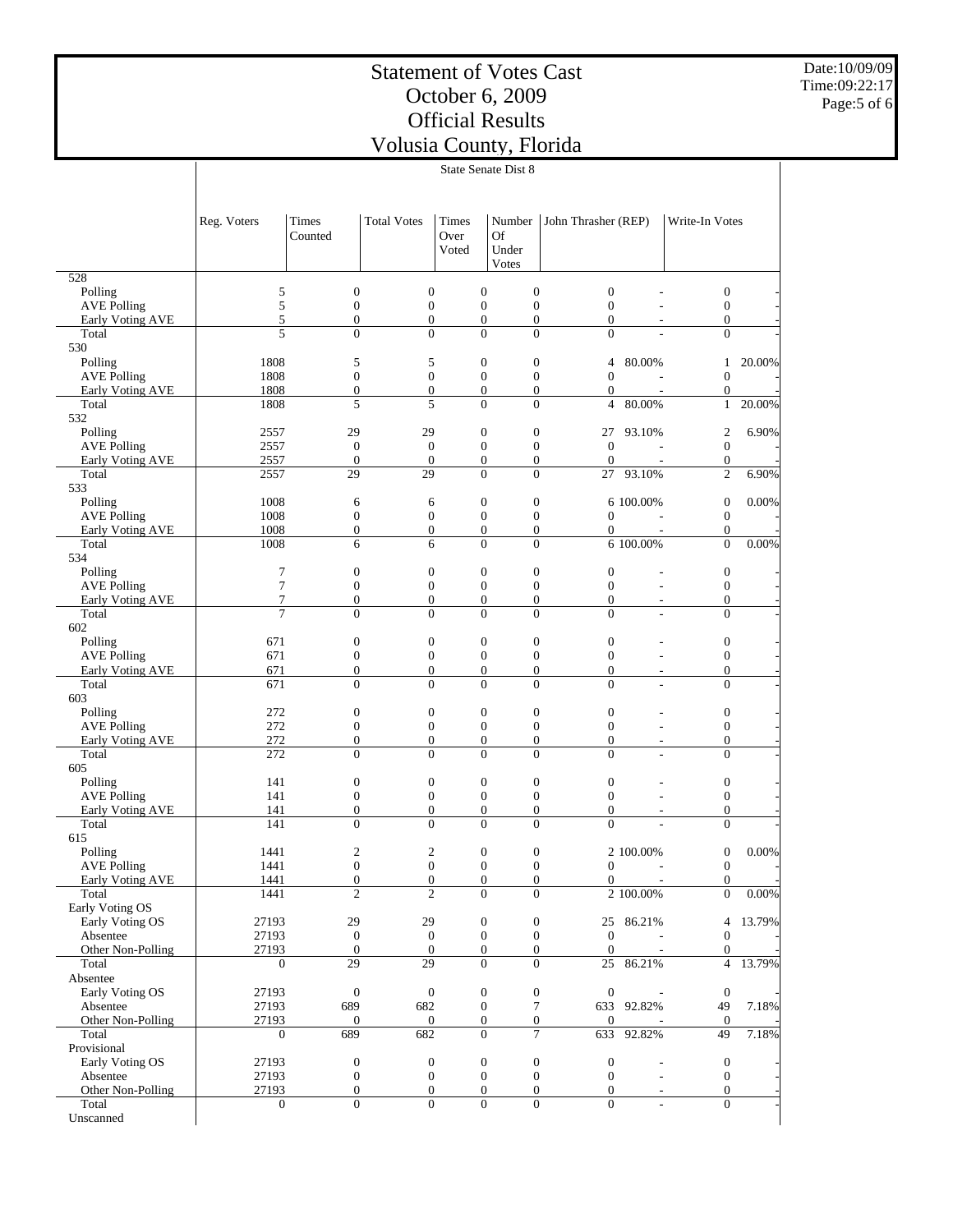# Statement of Votes Cast October 6, 2009 Official Results

Date:10/09/09 Time:09:22:17 Page:5 of 6

| Volusia County, Florida |  |
|-------------------------|--|
| State Senate Dist 8     |  |

| <b>Total Votes</b><br>Times<br>Times<br>Number<br>John Thrasher (REP)<br>Write-In Votes<br>Reg. Voters<br>Of<br>Counted<br>Over<br>Voted<br>Under<br>Votes<br>528<br>5<br>$\boldsymbol{0}$<br>$\boldsymbol{0}$<br>$\boldsymbol{0}$<br>$\boldsymbol{0}$<br>Polling<br>$\boldsymbol{0}$<br>$\boldsymbol{0}$<br>5<br>$\boldsymbol{0}$<br>$\boldsymbol{0}$<br>$\boldsymbol{0}$<br>$\boldsymbol{0}$<br>$\boldsymbol{0}$<br><b>AVE Polling</b><br>$\mathbf{0}$<br>5<br>$\boldsymbol{0}$<br>$\boldsymbol{0}$<br>$\boldsymbol{0}$<br>$\boldsymbol{0}$<br>$\overline{0}$<br>$\boldsymbol{0}$<br>Early Voting AVE<br>5<br>$\mathbf{0}$<br>$\overline{0}$<br>$\Omega$<br>$\Omega$<br>$\overline{0}$<br>$\overline{0}$<br>Total<br>530<br>Polling<br>1808<br>5<br>$\mathbf{0}$<br>$\boldsymbol{0}$<br>20.00%<br>5<br>$\overline{4}$<br>80.00%<br>$\mathbf{1}$<br>1808<br>$\mathbf{0}$<br>$\boldsymbol{0}$<br><b>AVE Polling</b><br>$\mathbf{0}$<br>$\boldsymbol{0}$<br>$\mathbf{0}$<br>$\boldsymbol{0}$<br>$\boldsymbol{0}$<br>$\overline{0}$<br>Early Voting AVE<br>1808<br>$\mathbf{0}$<br>$\mathbf{0}$<br>$\boldsymbol{0}$<br>$\overline{0}$<br>1808<br>5<br>5<br>$\overline{0}$<br>$\overline{0}$<br>Total<br>$\overline{4}$<br>80.00%<br>$\mathbf{1}$<br>20.00%<br>532<br>$\boldsymbol{0}$<br>$\boldsymbol{0}$<br>6.90%<br>Polling<br>29<br>29<br>$\boldsymbol{2}$<br>2557<br>27<br>93.10%<br>$\boldsymbol{0}$<br>$\boldsymbol{0}$<br><b>AVE Polling</b><br>2557<br>$\mathbf{0}$<br>$\boldsymbol{0}$<br>$\mathbf{0}$<br>$\boldsymbol{0}$<br>2557<br><b>Early Voting AVE</b><br>$\boldsymbol{0}$<br>$\boldsymbol{0}$<br>$\boldsymbol{0}$<br>$\boldsymbol{0}$<br>$\theta$<br>$\boldsymbol{0}$<br>29<br>29<br>$\Omega$<br>$\Omega$<br>27 93.10%<br>$\overline{c}$<br>6.90%<br>Total<br>2557<br>533<br>0.00%<br>1008<br>$\boldsymbol{0}$<br>$\boldsymbol{0}$<br>6 100.00%<br>$\boldsymbol{0}$<br>Polling<br>6<br>6<br>$\boldsymbol{0}$<br>$\boldsymbol{0}$<br>$\boldsymbol{0}$<br><b>AVE Polling</b><br>1008<br>$\boldsymbol{0}$<br>$\mathbf{0}$<br>$\boldsymbol{0}$<br>1008<br>$\mathbf{0}$<br>$\boldsymbol{0}$<br>$\boldsymbol{0}$<br>$\boldsymbol{0}$<br>$\boldsymbol{0}$<br>$\boldsymbol{0}$<br>Early Voting AVE<br>Total<br>1008<br>$\Omega$<br>$\Omega$<br>6 100.00%<br>$\overline{0}$<br>0.00%<br>6<br>6<br>534<br>7<br>$\boldsymbol{0}$<br>$\boldsymbol{0}$<br>$\boldsymbol{0}$<br>$\boldsymbol{0}$<br>$\boldsymbol{0}$<br>$\boldsymbol{0}$<br>Polling<br>$\tau$<br>$\mathbf{0}$<br>$\boldsymbol{0}$<br>$\overline{0}$<br>$\boldsymbol{0}$<br><b>AVE Polling</b><br>$\mathbf{0}$<br>$\overline{0}$<br>÷,<br>$\tau$<br>$\boldsymbol{0}$<br>$\boldsymbol{0}$<br>$\boldsymbol{0}$<br><b>Early Voting AVE</b><br>$\boldsymbol{0}$<br>$\boldsymbol{0}$<br>$\overline{0}$<br>٠<br>$\overline{7}$<br>$\Omega$<br>$\mathbf{0}$<br>$\Omega$<br>$\Omega$<br>$\theta$<br>$\overline{0}$<br>Total<br>÷,<br>602<br>Polling<br>671<br>$\boldsymbol{0}$<br>$\boldsymbol{0}$<br>$\boldsymbol{0}$<br>$\boldsymbol{0}$<br>$\boldsymbol{0}$<br>0<br>$\boldsymbol{0}$<br>$\boldsymbol{0}$<br>$\boldsymbol{0}$<br><b>AVE Polling</b><br>671<br>$\boldsymbol{0}$<br>$\boldsymbol{0}$<br>$\boldsymbol{0}$<br>$\mathbf{0}$<br>$\mathbf{0}$<br>Early Voting AVE<br>671<br>$\mathbf{0}$<br>$\mathbf{0}$<br>$\theta$<br>$\mathbf{0}$<br>$\overline{\phantom{0}}$<br>$\overline{0}$<br>$\overline{0}$<br>$\overline{0}$<br>$\mathbf{0}$<br>$\overline{0}$<br>$\overline{0}$<br>Total<br>671<br>L<br>603<br>$\boldsymbol{0}$<br>$\boldsymbol{0}$<br>$\boldsymbol{0}$<br>272<br>$\boldsymbol{0}$<br>$\boldsymbol{0}$<br>$\boldsymbol{0}$<br>Polling<br>$\overline{0}$<br>$\boldsymbol{0}$<br>$\boldsymbol{0}$<br><b>AVE Polling</b><br>272<br>$\mathbf{0}$<br>$\overline{0}$<br>$\boldsymbol{0}$<br>272<br>Early Voting AVE<br>$\boldsymbol{0}$<br>$\boldsymbol{0}$<br>$\boldsymbol{0}$<br>$\boldsymbol{0}$<br>$\overline{0}$<br>$\boldsymbol{0}$<br>٠<br>$\theta$<br>$\overline{0}$<br>$\theta$<br>$\Omega$<br>$\theta$<br>Total<br>272<br>$\theta$<br>605<br>$\boldsymbol{0}$<br>$\boldsymbol{0}$<br>$\boldsymbol{0}$<br>$\boldsymbol{0}$<br>$\boldsymbol{0}$<br>$\boldsymbol{0}$<br>Polling<br>141<br>$\boldsymbol{0}$<br>$\boldsymbol{0}$<br>$\boldsymbol{0}$<br>$\boldsymbol{0}$<br><b>AVE Polling</b><br>141<br>$\boldsymbol{0}$<br>$\boldsymbol{0}$<br>$\mathbf{0}$<br>$\boldsymbol{0}$<br>$\boldsymbol{0}$<br>$\boldsymbol{0}$<br>$\overline{0}$<br>$\mathbf{0}$<br>Early Voting AVE<br>141<br>$\overline{\phantom{0}}$<br>141<br>$\overline{0}$<br>$\theta$<br>$\Omega$<br>Total<br>$\Omega$<br>$\theta$<br>$\mathbf{0}$<br>615<br>$\mathfrak{2}$<br>$\overline{c}$<br>$0.00\%$<br>$\mathbf{0}$<br>$\boldsymbol{0}$<br>$\boldsymbol{0}$<br>Polling<br>1441<br>2 100.00%<br>AVE Polling<br>1441<br>$\boldsymbol{0}$<br>$\boldsymbol{0}$<br>$\boldsymbol{0}$<br>$\boldsymbol{0}$<br>$\boldsymbol{0}$<br>$\boldsymbol{0}$<br>1441<br>$\boldsymbol{0}$<br>$\boldsymbol{0}$<br>$\mathbf{0}$<br>$\boldsymbol{0}$<br>$\overline{0}$<br>$\boldsymbol{0}$<br>Early Voting AVE<br>$\overline{2}$<br>$\overline{2}$<br>1441<br>$\Omega$<br>$\Omega$<br>2 100.00%<br>$\boldsymbol{0}$<br>$0.00\%$<br>Total<br>Early Voting OS<br>Early Voting OS<br>29<br>29<br>13.79%<br>27193<br>$\boldsymbol{0}$<br>$\boldsymbol{0}$<br>25 86.21%<br>4<br>27193<br>$\mathbf{0}$<br>$\mathbf{0}$<br>$\boldsymbol{0}$<br>Absentee<br>$\mathbf{0}$<br>$\mathbf{0}$<br>$\mathbf{0}$<br>27193<br>$\mathbf{0}$<br>$\mathbf{0}$<br>Other Non-Polling<br>$\theta$<br>$\boldsymbol{0}$<br>$\mathbf{0}$<br>$\boldsymbol{0}$<br>13.79%<br>Total<br>29<br>29<br>$\overline{0}$<br>$\overline{0}$<br>25 86.21%<br>$\overline{4}$<br>$\boldsymbol{0}$<br>Absentee<br>Early Voting OS<br>$\mathbf{0}$<br>$\boldsymbol{0}$<br>$\boldsymbol{0}$<br>$\boldsymbol{0}$<br>27193<br>$\boldsymbol{0}$<br>$\boldsymbol{0}$<br>689<br>682<br>$\tau$<br>7.18%<br>Absentee<br>27193<br>$\boldsymbol{0}$<br>633 92.82%<br>49<br>Other Non-Polling<br>27193<br>$\mathbf{0}$<br>$\mathbf{0}$<br>$\boldsymbol{0}$<br>$\boldsymbol{0}$<br>$\mathbf{0}$<br>$\mathbf{0}$<br>$\overline{7}$<br>Total<br>689<br>682<br>$\mathbf{0}$<br>633<br>92.82%<br>49<br>7.18%<br>$\boldsymbol{0}$<br>Provisional<br>$\mathbf{0}$<br>$\boldsymbol{0}$<br>Early Voting OS<br>27193<br>$\boldsymbol{0}$<br>$\boldsymbol{0}$<br>$\boldsymbol{0}$<br>$\mathbf{0}$<br>27193<br>$\mathbf{0}$<br>$\mathbf{0}$<br>$\mathbf{0}$<br>Absentee<br>$\mathbf{0}$<br>$\mathbf{0}$<br>$\mathbf{0}$<br>27193<br>$\mathbf{0}$<br>$\overline{0}$<br>$\overline{0}$<br>Other Non-Polling<br>$\overline{0}$<br>$\overline{0}$<br>$\overline{0}$<br>$\overline{\phantom{a}}$<br>Total<br>$\boldsymbol{0}$<br>$\boldsymbol{0}$<br>$\boldsymbol{0}$<br>$\boldsymbol{0}$<br>$\overline{0}$<br>$\overline{0}$<br>$\boldsymbol{0}$<br>Unscanned | State Senate Dist 8 |  |  |  |  |  |  |  |  |
|-----------------------------------------------------------------------------------------------------------------------------------------------------------------------------------------------------------------------------------------------------------------------------------------------------------------------------------------------------------------------------------------------------------------------------------------------------------------------------------------------------------------------------------------------------------------------------------------------------------------------------------------------------------------------------------------------------------------------------------------------------------------------------------------------------------------------------------------------------------------------------------------------------------------------------------------------------------------------------------------------------------------------------------------------------------------------------------------------------------------------------------------------------------------------------------------------------------------------------------------------------------------------------------------------------------------------------------------------------------------------------------------------------------------------------------------------------------------------------------------------------------------------------------------------------------------------------------------------------------------------------------------------------------------------------------------------------------------------------------------------------------------------------------------------------------------------------------------------------------------------------------------------------------------------------------------------------------------------------------------------------------------------------------------------------------------------------------------------------------------------------------------------------------------------------------------------------------------------------------------------------------------------------------------------------------------------------------------------------------------------------------------------------------------------------------------------------------------------------------------------------------------------------------------------------------------------------------------------------------------------------------------------------------------------------------------------------------------------------------------------------------------------------------------------------------------------------------------------------------------------------------------------------------------------------------------------------------------------------------------------------------------------------------------------------------------------------------------------------------------------------------------------------------------------------------------------------------------------------------------------------------------------------------------------------------------------------------------------------------------------------------------------------------------------------------------------------------------------------------------------------------------------------------------------------------------------------------------------------------------------------------------------------------------------------------------------------------------------------------------------------------------------------------------------------------------------------------------------------------------------------------------------------------------------------------------------------------------------------------------------------------------------------------------------------------------------------------------------------------------------------------------------------------------------------------------------------------------------------------------------------------------------------------------------------------------------------------------------------------------------------------------------------------------------------------------------------------------------------------------------------------------------------------------------------------------------------------------------------------------------------------------------------------------------------------------------------------------------------------------------------------------------------------------------------------------------------------------------------------------------------------------------------------------------------------------------------------------------------------------------------------------------------------------------------------------------------------------------------------------------------------------------------------------------------------------------------------------------------------------------------------------------------------------------------------------------------------------------------------------------------------------------------------------------------------------------------------------------------------------------------------------------------------------------------------------------------------------------------------------------------------------------------------------------------------------------------------------------------------------------------------------------------------------------------------------------------------------------------------------------------------------------------------------------------------------------------------------------------------------------------------------------------------------------------------------------------------------------------------------------------------------------------------------------------------------------------------------------------------------------------------------------------------------------------------------------------------------------------------------------------------------------------------------------------------------------------------------------------------------------------------------------------------------------------------------------------------------------------------------------------------------------------------------------------------------------------------------------------------------------------------------------------------------------------------------------|---------------------|--|--|--|--|--|--|--|--|
|                                                                                                                                                                                                                                                                                                                                                                                                                                                                                                                                                                                                                                                                                                                                                                                                                                                                                                                                                                                                                                                                                                                                                                                                                                                                                                                                                                                                                                                                                                                                                                                                                                                                                                                                                                                                                                                                                                                                                                                                                                                                                                                                                                                                                                                                                                                                                                                                                                                                                                                                                                                                                                                                                                                                                                                                                                                                                                                                                                                                                                                                                                                                                                                                                                                                                                                                                                                                                                                                                                                                                                                                                                                                                                                                                                                                                                                                                                                                                                                                                                                                                                                                                                                                                                                                                                                                                                                                                                                                                                                                                                                                                                                                                                                                                                                                                                                                                                                                                                                                                                                                                                                                                                                                                                                                                                                                                                                                                                                                                                                                                                                                                                                                                                                                                                                                                                                                                                                                                                                                                                                                                                                                                                                                                                                                                                                                                                                                                                                                                                                                                                                                                                                                                                                                                                                                                       |                     |  |  |  |  |  |  |  |  |
|                                                                                                                                                                                                                                                                                                                                                                                                                                                                                                                                                                                                                                                                                                                                                                                                                                                                                                                                                                                                                                                                                                                                                                                                                                                                                                                                                                                                                                                                                                                                                                                                                                                                                                                                                                                                                                                                                                                                                                                                                                                                                                                                                                                                                                                                                                                                                                                                                                                                                                                                                                                                                                                                                                                                                                                                                                                                                                                                                                                                                                                                                                                                                                                                                                                                                                                                                                                                                                                                                                                                                                                                                                                                                                                                                                                                                                                                                                                                                                                                                                                                                                                                                                                                                                                                                                                                                                                                                                                                                                                                                                                                                                                                                                                                                                                                                                                                                                                                                                                                                                                                                                                                                                                                                                                                                                                                                                                                                                                                                                                                                                                                                                                                                                                                                                                                                                                                                                                                                                                                                                                                                                                                                                                                                                                                                                                                                                                                                                                                                                                                                                                                                                                                                                                                                                                                                       |                     |  |  |  |  |  |  |  |  |
|                                                                                                                                                                                                                                                                                                                                                                                                                                                                                                                                                                                                                                                                                                                                                                                                                                                                                                                                                                                                                                                                                                                                                                                                                                                                                                                                                                                                                                                                                                                                                                                                                                                                                                                                                                                                                                                                                                                                                                                                                                                                                                                                                                                                                                                                                                                                                                                                                                                                                                                                                                                                                                                                                                                                                                                                                                                                                                                                                                                                                                                                                                                                                                                                                                                                                                                                                                                                                                                                                                                                                                                                                                                                                                                                                                                                                                                                                                                                                                                                                                                                                                                                                                                                                                                                                                                                                                                                                                                                                                                                                                                                                                                                                                                                                                                                                                                                                                                                                                                                                                                                                                                                                                                                                                                                                                                                                                                                                                                                                                                                                                                                                                                                                                                                                                                                                                                                                                                                                                                                                                                                                                                                                                                                                                                                                                                                                                                                                                                                                                                                                                                                                                                                                                                                                                                                                       |                     |  |  |  |  |  |  |  |  |
|                                                                                                                                                                                                                                                                                                                                                                                                                                                                                                                                                                                                                                                                                                                                                                                                                                                                                                                                                                                                                                                                                                                                                                                                                                                                                                                                                                                                                                                                                                                                                                                                                                                                                                                                                                                                                                                                                                                                                                                                                                                                                                                                                                                                                                                                                                                                                                                                                                                                                                                                                                                                                                                                                                                                                                                                                                                                                                                                                                                                                                                                                                                                                                                                                                                                                                                                                                                                                                                                                                                                                                                                                                                                                                                                                                                                                                                                                                                                                                                                                                                                                                                                                                                                                                                                                                                                                                                                                                                                                                                                                                                                                                                                                                                                                                                                                                                                                                                                                                                                                                                                                                                                                                                                                                                                                                                                                                                                                                                                                                                                                                                                                                                                                                                                                                                                                                                                                                                                                                                                                                                                                                                                                                                                                                                                                                                                                                                                                                                                                                                                                                                                                                                                                                                                                                                                                       |                     |  |  |  |  |  |  |  |  |
|                                                                                                                                                                                                                                                                                                                                                                                                                                                                                                                                                                                                                                                                                                                                                                                                                                                                                                                                                                                                                                                                                                                                                                                                                                                                                                                                                                                                                                                                                                                                                                                                                                                                                                                                                                                                                                                                                                                                                                                                                                                                                                                                                                                                                                                                                                                                                                                                                                                                                                                                                                                                                                                                                                                                                                                                                                                                                                                                                                                                                                                                                                                                                                                                                                                                                                                                                                                                                                                                                                                                                                                                                                                                                                                                                                                                                                                                                                                                                                                                                                                                                                                                                                                                                                                                                                                                                                                                                                                                                                                                                                                                                                                                                                                                                                                                                                                                                                                                                                                                                                                                                                                                                                                                                                                                                                                                                                                                                                                                                                                                                                                                                                                                                                                                                                                                                                                                                                                                                                                                                                                                                                                                                                                                                                                                                                                                                                                                                                                                                                                                                                                                                                                                                                                                                                                                                       |                     |  |  |  |  |  |  |  |  |
|                                                                                                                                                                                                                                                                                                                                                                                                                                                                                                                                                                                                                                                                                                                                                                                                                                                                                                                                                                                                                                                                                                                                                                                                                                                                                                                                                                                                                                                                                                                                                                                                                                                                                                                                                                                                                                                                                                                                                                                                                                                                                                                                                                                                                                                                                                                                                                                                                                                                                                                                                                                                                                                                                                                                                                                                                                                                                                                                                                                                                                                                                                                                                                                                                                                                                                                                                                                                                                                                                                                                                                                                                                                                                                                                                                                                                                                                                                                                                                                                                                                                                                                                                                                                                                                                                                                                                                                                                                                                                                                                                                                                                                                                                                                                                                                                                                                                                                                                                                                                                                                                                                                                                                                                                                                                                                                                                                                                                                                                                                                                                                                                                                                                                                                                                                                                                                                                                                                                                                                                                                                                                                                                                                                                                                                                                                                                                                                                                                                                                                                                                                                                                                                                                                                                                                                                                       |                     |  |  |  |  |  |  |  |  |
|                                                                                                                                                                                                                                                                                                                                                                                                                                                                                                                                                                                                                                                                                                                                                                                                                                                                                                                                                                                                                                                                                                                                                                                                                                                                                                                                                                                                                                                                                                                                                                                                                                                                                                                                                                                                                                                                                                                                                                                                                                                                                                                                                                                                                                                                                                                                                                                                                                                                                                                                                                                                                                                                                                                                                                                                                                                                                                                                                                                                                                                                                                                                                                                                                                                                                                                                                                                                                                                                                                                                                                                                                                                                                                                                                                                                                                                                                                                                                                                                                                                                                                                                                                                                                                                                                                                                                                                                                                                                                                                                                                                                                                                                                                                                                                                                                                                                                                                                                                                                                                                                                                                                                                                                                                                                                                                                                                                                                                                                                                                                                                                                                                                                                                                                                                                                                                                                                                                                                                                                                                                                                                                                                                                                                                                                                                                                                                                                                                                                                                                                                                                                                                                                                                                                                                                                                       |                     |  |  |  |  |  |  |  |  |
|                                                                                                                                                                                                                                                                                                                                                                                                                                                                                                                                                                                                                                                                                                                                                                                                                                                                                                                                                                                                                                                                                                                                                                                                                                                                                                                                                                                                                                                                                                                                                                                                                                                                                                                                                                                                                                                                                                                                                                                                                                                                                                                                                                                                                                                                                                                                                                                                                                                                                                                                                                                                                                                                                                                                                                                                                                                                                                                                                                                                                                                                                                                                                                                                                                                                                                                                                                                                                                                                                                                                                                                                                                                                                                                                                                                                                                                                                                                                                                                                                                                                                                                                                                                                                                                                                                                                                                                                                                                                                                                                                                                                                                                                                                                                                                                                                                                                                                                                                                                                                                                                                                                                                                                                                                                                                                                                                                                                                                                                                                                                                                                                                                                                                                                                                                                                                                                                                                                                                                                                                                                                                                                                                                                                                                                                                                                                                                                                                                                                                                                                                                                                                                                                                                                                                                                                                       |                     |  |  |  |  |  |  |  |  |
|                                                                                                                                                                                                                                                                                                                                                                                                                                                                                                                                                                                                                                                                                                                                                                                                                                                                                                                                                                                                                                                                                                                                                                                                                                                                                                                                                                                                                                                                                                                                                                                                                                                                                                                                                                                                                                                                                                                                                                                                                                                                                                                                                                                                                                                                                                                                                                                                                                                                                                                                                                                                                                                                                                                                                                                                                                                                                                                                                                                                                                                                                                                                                                                                                                                                                                                                                                                                                                                                                                                                                                                                                                                                                                                                                                                                                                                                                                                                                                                                                                                                                                                                                                                                                                                                                                                                                                                                                                                                                                                                                                                                                                                                                                                                                                                                                                                                                                                                                                                                                                                                                                                                                                                                                                                                                                                                                                                                                                                                                                                                                                                                                                                                                                                                                                                                                                                                                                                                                                                                                                                                                                                                                                                                                                                                                                                                                                                                                                                                                                                                                                                                                                                                                                                                                                                                                       |                     |  |  |  |  |  |  |  |  |
|                                                                                                                                                                                                                                                                                                                                                                                                                                                                                                                                                                                                                                                                                                                                                                                                                                                                                                                                                                                                                                                                                                                                                                                                                                                                                                                                                                                                                                                                                                                                                                                                                                                                                                                                                                                                                                                                                                                                                                                                                                                                                                                                                                                                                                                                                                                                                                                                                                                                                                                                                                                                                                                                                                                                                                                                                                                                                                                                                                                                                                                                                                                                                                                                                                                                                                                                                                                                                                                                                                                                                                                                                                                                                                                                                                                                                                                                                                                                                                                                                                                                                                                                                                                                                                                                                                                                                                                                                                                                                                                                                                                                                                                                                                                                                                                                                                                                                                                                                                                                                                                                                                                                                                                                                                                                                                                                                                                                                                                                                                                                                                                                                                                                                                                                                                                                                                                                                                                                                                                                                                                                                                                                                                                                                                                                                                                                                                                                                                                                                                                                                                                                                                                                                                                                                                                                                       |                     |  |  |  |  |  |  |  |  |
|                                                                                                                                                                                                                                                                                                                                                                                                                                                                                                                                                                                                                                                                                                                                                                                                                                                                                                                                                                                                                                                                                                                                                                                                                                                                                                                                                                                                                                                                                                                                                                                                                                                                                                                                                                                                                                                                                                                                                                                                                                                                                                                                                                                                                                                                                                                                                                                                                                                                                                                                                                                                                                                                                                                                                                                                                                                                                                                                                                                                                                                                                                                                                                                                                                                                                                                                                                                                                                                                                                                                                                                                                                                                                                                                                                                                                                                                                                                                                                                                                                                                                                                                                                                                                                                                                                                                                                                                                                                                                                                                                                                                                                                                                                                                                                                                                                                                                                                                                                                                                                                                                                                                                                                                                                                                                                                                                                                                                                                                                                                                                                                                                                                                                                                                                                                                                                                                                                                                                                                                                                                                                                                                                                                                                                                                                                                                                                                                                                                                                                                                                                                                                                                                                                                                                                                                                       |                     |  |  |  |  |  |  |  |  |
|                                                                                                                                                                                                                                                                                                                                                                                                                                                                                                                                                                                                                                                                                                                                                                                                                                                                                                                                                                                                                                                                                                                                                                                                                                                                                                                                                                                                                                                                                                                                                                                                                                                                                                                                                                                                                                                                                                                                                                                                                                                                                                                                                                                                                                                                                                                                                                                                                                                                                                                                                                                                                                                                                                                                                                                                                                                                                                                                                                                                                                                                                                                                                                                                                                                                                                                                                                                                                                                                                                                                                                                                                                                                                                                                                                                                                                                                                                                                                                                                                                                                                                                                                                                                                                                                                                                                                                                                                                                                                                                                                                                                                                                                                                                                                                                                                                                                                                                                                                                                                                                                                                                                                                                                                                                                                                                                                                                                                                                                                                                                                                                                                                                                                                                                                                                                                                                                                                                                                                                                                                                                                                                                                                                                                                                                                                                                                                                                                                                                                                                                                                                                                                                                                                                                                                                                                       |                     |  |  |  |  |  |  |  |  |
|                                                                                                                                                                                                                                                                                                                                                                                                                                                                                                                                                                                                                                                                                                                                                                                                                                                                                                                                                                                                                                                                                                                                                                                                                                                                                                                                                                                                                                                                                                                                                                                                                                                                                                                                                                                                                                                                                                                                                                                                                                                                                                                                                                                                                                                                                                                                                                                                                                                                                                                                                                                                                                                                                                                                                                                                                                                                                                                                                                                                                                                                                                                                                                                                                                                                                                                                                                                                                                                                                                                                                                                                                                                                                                                                                                                                                                                                                                                                                                                                                                                                                                                                                                                                                                                                                                                                                                                                                                                                                                                                                                                                                                                                                                                                                                                                                                                                                                                                                                                                                                                                                                                                                                                                                                                                                                                                                                                                                                                                                                                                                                                                                                                                                                                                                                                                                                                                                                                                                                                                                                                                                                                                                                                                                                                                                                                                                                                                                                                                                                                                                                                                                                                                                                                                                                                                                       |                     |  |  |  |  |  |  |  |  |
|                                                                                                                                                                                                                                                                                                                                                                                                                                                                                                                                                                                                                                                                                                                                                                                                                                                                                                                                                                                                                                                                                                                                                                                                                                                                                                                                                                                                                                                                                                                                                                                                                                                                                                                                                                                                                                                                                                                                                                                                                                                                                                                                                                                                                                                                                                                                                                                                                                                                                                                                                                                                                                                                                                                                                                                                                                                                                                                                                                                                                                                                                                                                                                                                                                                                                                                                                                                                                                                                                                                                                                                                                                                                                                                                                                                                                                                                                                                                                                                                                                                                                                                                                                                                                                                                                                                                                                                                                                                                                                                                                                                                                                                                                                                                                                                                                                                                                                                                                                                                                                                                                                                                                                                                                                                                                                                                                                                                                                                                                                                                                                                                                                                                                                                                                                                                                                                                                                                                                                                                                                                                                                                                                                                                                                                                                                                                                                                                                                                                                                                                                                                                                                                                                                                                                                                                                       |                     |  |  |  |  |  |  |  |  |
|                                                                                                                                                                                                                                                                                                                                                                                                                                                                                                                                                                                                                                                                                                                                                                                                                                                                                                                                                                                                                                                                                                                                                                                                                                                                                                                                                                                                                                                                                                                                                                                                                                                                                                                                                                                                                                                                                                                                                                                                                                                                                                                                                                                                                                                                                                                                                                                                                                                                                                                                                                                                                                                                                                                                                                                                                                                                                                                                                                                                                                                                                                                                                                                                                                                                                                                                                                                                                                                                                                                                                                                                                                                                                                                                                                                                                                                                                                                                                                                                                                                                                                                                                                                                                                                                                                                                                                                                                                                                                                                                                                                                                                                                                                                                                                                                                                                                                                                                                                                                                                                                                                                                                                                                                                                                                                                                                                                                                                                                                                                                                                                                                                                                                                                                                                                                                                                                                                                                                                                                                                                                                                                                                                                                                                                                                                                                                                                                                                                                                                                                                                                                                                                                                                                                                                                                                       |                     |  |  |  |  |  |  |  |  |
|                                                                                                                                                                                                                                                                                                                                                                                                                                                                                                                                                                                                                                                                                                                                                                                                                                                                                                                                                                                                                                                                                                                                                                                                                                                                                                                                                                                                                                                                                                                                                                                                                                                                                                                                                                                                                                                                                                                                                                                                                                                                                                                                                                                                                                                                                                                                                                                                                                                                                                                                                                                                                                                                                                                                                                                                                                                                                                                                                                                                                                                                                                                                                                                                                                                                                                                                                                                                                                                                                                                                                                                                                                                                                                                                                                                                                                                                                                                                                                                                                                                                                                                                                                                                                                                                                                                                                                                                                                                                                                                                                                                                                                                                                                                                                                                                                                                                                                                                                                                                                                                                                                                                                                                                                                                                                                                                                                                                                                                                                                                                                                                                                                                                                                                                                                                                                                                                                                                                                                                                                                                                                                                                                                                                                                                                                                                                                                                                                                                                                                                                                                                                                                                                                                                                                                                                                       |                     |  |  |  |  |  |  |  |  |
|                                                                                                                                                                                                                                                                                                                                                                                                                                                                                                                                                                                                                                                                                                                                                                                                                                                                                                                                                                                                                                                                                                                                                                                                                                                                                                                                                                                                                                                                                                                                                                                                                                                                                                                                                                                                                                                                                                                                                                                                                                                                                                                                                                                                                                                                                                                                                                                                                                                                                                                                                                                                                                                                                                                                                                                                                                                                                                                                                                                                                                                                                                                                                                                                                                                                                                                                                                                                                                                                                                                                                                                                                                                                                                                                                                                                                                                                                                                                                                                                                                                                                                                                                                                                                                                                                                                                                                                                                                                                                                                                                                                                                                                                                                                                                                                                                                                                                                                                                                                                                                                                                                                                                                                                                                                                                                                                                                                                                                                                                                                                                                                                                                                                                                                                                                                                                                                                                                                                                                                                                                                                                                                                                                                                                                                                                                                                                                                                                                                                                                                                                                                                                                                                                                                                                                                                                       |                     |  |  |  |  |  |  |  |  |
|                                                                                                                                                                                                                                                                                                                                                                                                                                                                                                                                                                                                                                                                                                                                                                                                                                                                                                                                                                                                                                                                                                                                                                                                                                                                                                                                                                                                                                                                                                                                                                                                                                                                                                                                                                                                                                                                                                                                                                                                                                                                                                                                                                                                                                                                                                                                                                                                                                                                                                                                                                                                                                                                                                                                                                                                                                                                                                                                                                                                                                                                                                                                                                                                                                                                                                                                                                                                                                                                                                                                                                                                                                                                                                                                                                                                                                                                                                                                                                                                                                                                                                                                                                                                                                                                                                                                                                                                                                                                                                                                                                                                                                                                                                                                                                                                                                                                                                                                                                                                                                                                                                                                                                                                                                                                                                                                                                                                                                                                                                                                                                                                                                                                                                                                                                                                                                                                                                                                                                                                                                                                                                                                                                                                                                                                                                                                                                                                                                                                                                                                                                                                                                                                                                                                                                                                                       |                     |  |  |  |  |  |  |  |  |
|                                                                                                                                                                                                                                                                                                                                                                                                                                                                                                                                                                                                                                                                                                                                                                                                                                                                                                                                                                                                                                                                                                                                                                                                                                                                                                                                                                                                                                                                                                                                                                                                                                                                                                                                                                                                                                                                                                                                                                                                                                                                                                                                                                                                                                                                                                                                                                                                                                                                                                                                                                                                                                                                                                                                                                                                                                                                                                                                                                                                                                                                                                                                                                                                                                                                                                                                                                                                                                                                                                                                                                                                                                                                                                                                                                                                                                                                                                                                                                                                                                                                                                                                                                                                                                                                                                                                                                                                                                                                                                                                                                                                                                                                                                                                                                                                                                                                                                                                                                                                                                                                                                                                                                                                                                                                                                                                                                                                                                                                                                                                                                                                                                                                                                                                                                                                                                                                                                                                                                                                                                                                                                                                                                                                                                                                                                                                                                                                                                                                                                                                                                                                                                                                                                                                                                                                                       |                     |  |  |  |  |  |  |  |  |
|                                                                                                                                                                                                                                                                                                                                                                                                                                                                                                                                                                                                                                                                                                                                                                                                                                                                                                                                                                                                                                                                                                                                                                                                                                                                                                                                                                                                                                                                                                                                                                                                                                                                                                                                                                                                                                                                                                                                                                                                                                                                                                                                                                                                                                                                                                                                                                                                                                                                                                                                                                                                                                                                                                                                                                                                                                                                                                                                                                                                                                                                                                                                                                                                                                                                                                                                                                                                                                                                                                                                                                                                                                                                                                                                                                                                                                                                                                                                                                                                                                                                                                                                                                                                                                                                                                                                                                                                                                                                                                                                                                                                                                                                                                                                                                                                                                                                                                                                                                                                                                                                                                                                                                                                                                                                                                                                                                                                                                                                                                                                                                                                                                                                                                                                                                                                                                                                                                                                                                                                                                                                                                                                                                                                                                                                                                                                                                                                                                                                                                                                                                                                                                                                                                                                                                                                                       |                     |  |  |  |  |  |  |  |  |
|                                                                                                                                                                                                                                                                                                                                                                                                                                                                                                                                                                                                                                                                                                                                                                                                                                                                                                                                                                                                                                                                                                                                                                                                                                                                                                                                                                                                                                                                                                                                                                                                                                                                                                                                                                                                                                                                                                                                                                                                                                                                                                                                                                                                                                                                                                                                                                                                                                                                                                                                                                                                                                                                                                                                                                                                                                                                                                                                                                                                                                                                                                                                                                                                                                                                                                                                                                                                                                                                                                                                                                                                                                                                                                                                                                                                                                                                                                                                                                                                                                                                                                                                                                                                                                                                                                                                                                                                                                                                                                                                                                                                                                                                                                                                                                                                                                                                                                                                                                                                                                                                                                                                                                                                                                                                                                                                                                                                                                                                                                                                                                                                                                                                                                                                                                                                                                                                                                                                                                                                                                                                                                                                                                                                                                                                                                                                                                                                                                                                                                                                                                                                                                                                                                                                                                                                                       |                     |  |  |  |  |  |  |  |  |
|                                                                                                                                                                                                                                                                                                                                                                                                                                                                                                                                                                                                                                                                                                                                                                                                                                                                                                                                                                                                                                                                                                                                                                                                                                                                                                                                                                                                                                                                                                                                                                                                                                                                                                                                                                                                                                                                                                                                                                                                                                                                                                                                                                                                                                                                                                                                                                                                                                                                                                                                                                                                                                                                                                                                                                                                                                                                                                                                                                                                                                                                                                                                                                                                                                                                                                                                                                                                                                                                                                                                                                                                                                                                                                                                                                                                                                                                                                                                                                                                                                                                                                                                                                                                                                                                                                                                                                                                                                                                                                                                                                                                                                                                                                                                                                                                                                                                                                                                                                                                                                                                                                                                                                                                                                                                                                                                                                                                                                                                                                                                                                                                                                                                                                                                                                                                                                                                                                                                                                                                                                                                                                                                                                                                                                                                                                                                                                                                                                                                                                                                                                                                                                                                                                                                                                                                                       |                     |  |  |  |  |  |  |  |  |
|                                                                                                                                                                                                                                                                                                                                                                                                                                                                                                                                                                                                                                                                                                                                                                                                                                                                                                                                                                                                                                                                                                                                                                                                                                                                                                                                                                                                                                                                                                                                                                                                                                                                                                                                                                                                                                                                                                                                                                                                                                                                                                                                                                                                                                                                                                                                                                                                                                                                                                                                                                                                                                                                                                                                                                                                                                                                                                                                                                                                                                                                                                                                                                                                                                                                                                                                                                                                                                                                                                                                                                                                                                                                                                                                                                                                                                                                                                                                                                                                                                                                                                                                                                                                                                                                                                                                                                                                                                                                                                                                                                                                                                                                                                                                                                                                                                                                                                                                                                                                                                                                                                                                                                                                                                                                                                                                                                                                                                                                                                                                                                                                                                                                                                                                                                                                                                                                                                                                                                                                                                                                                                                                                                                                                                                                                                                                                                                                                                                                                                                                                                                                                                                                                                                                                                                                                       |                     |  |  |  |  |  |  |  |  |
|                                                                                                                                                                                                                                                                                                                                                                                                                                                                                                                                                                                                                                                                                                                                                                                                                                                                                                                                                                                                                                                                                                                                                                                                                                                                                                                                                                                                                                                                                                                                                                                                                                                                                                                                                                                                                                                                                                                                                                                                                                                                                                                                                                                                                                                                                                                                                                                                                                                                                                                                                                                                                                                                                                                                                                                                                                                                                                                                                                                                                                                                                                                                                                                                                                                                                                                                                                                                                                                                                                                                                                                                                                                                                                                                                                                                                                                                                                                                                                                                                                                                                                                                                                                                                                                                                                                                                                                                                                                                                                                                                                                                                                                                                                                                                                                                                                                                                                                                                                                                                                                                                                                                                                                                                                                                                                                                                                                                                                                                                                                                                                                                                                                                                                                                                                                                                                                                                                                                                                                                                                                                                                                                                                                                                                                                                                                                                                                                                                                                                                                                                                                                                                                                                                                                                                                                                       |                     |  |  |  |  |  |  |  |  |
|                                                                                                                                                                                                                                                                                                                                                                                                                                                                                                                                                                                                                                                                                                                                                                                                                                                                                                                                                                                                                                                                                                                                                                                                                                                                                                                                                                                                                                                                                                                                                                                                                                                                                                                                                                                                                                                                                                                                                                                                                                                                                                                                                                                                                                                                                                                                                                                                                                                                                                                                                                                                                                                                                                                                                                                                                                                                                                                                                                                                                                                                                                                                                                                                                                                                                                                                                                                                                                                                                                                                                                                                                                                                                                                                                                                                                                                                                                                                                                                                                                                                                                                                                                                                                                                                                                                                                                                                                                                                                                                                                                                                                                                                                                                                                                                                                                                                                                                                                                                                                                                                                                                                                                                                                                                                                                                                                                                                                                                                                                                                                                                                                                                                                                                                                                                                                                                                                                                                                                                                                                                                                                                                                                                                                                                                                                                                                                                                                                                                                                                                                                                                                                                                                                                                                                                                                       |                     |  |  |  |  |  |  |  |  |
|                                                                                                                                                                                                                                                                                                                                                                                                                                                                                                                                                                                                                                                                                                                                                                                                                                                                                                                                                                                                                                                                                                                                                                                                                                                                                                                                                                                                                                                                                                                                                                                                                                                                                                                                                                                                                                                                                                                                                                                                                                                                                                                                                                                                                                                                                                                                                                                                                                                                                                                                                                                                                                                                                                                                                                                                                                                                                                                                                                                                                                                                                                                                                                                                                                                                                                                                                                                                                                                                                                                                                                                                                                                                                                                                                                                                                                                                                                                                                                                                                                                                                                                                                                                                                                                                                                                                                                                                                                                                                                                                                                                                                                                                                                                                                                                                                                                                                                                                                                                                                                                                                                                                                                                                                                                                                                                                                                                                                                                                                                                                                                                                                                                                                                                                                                                                                                                                                                                                                                                                                                                                                                                                                                                                                                                                                                                                                                                                                                                                                                                                                                                                                                                                                                                                                                                                                       |                     |  |  |  |  |  |  |  |  |
|                                                                                                                                                                                                                                                                                                                                                                                                                                                                                                                                                                                                                                                                                                                                                                                                                                                                                                                                                                                                                                                                                                                                                                                                                                                                                                                                                                                                                                                                                                                                                                                                                                                                                                                                                                                                                                                                                                                                                                                                                                                                                                                                                                                                                                                                                                                                                                                                                                                                                                                                                                                                                                                                                                                                                                                                                                                                                                                                                                                                                                                                                                                                                                                                                                                                                                                                                                                                                                                                                                                                                                                                                                                                                                                                                                                                                                                                                                                                                                                                                                                                                                                                                                                                                                                                                                                                                                                                                                                                                                                                                                                                                                                                                                                                                                                                                                                                                                                                                                                                                                                                                                                                                                                                                                                                                                                                                                                                                                                                                                                                                                                                                                                                                                                                                                                                                                                                                                                                                                                                                                                                                                                                                                                                                                                                                                                                                                                                                                                                                                                                                                                                                                                                                                                                                                                                                       |                     |  |  |  |  |  |  |  |  |
|                                                                                                                                                                                                                                                                                                                                                                                                                                                                                                                                                                                                                                                                                                                                                                                                                                                                                                                                                                                                                                                                                                                                                                                                                                                                                                                                                                                                                                                                                                                                                                                                                                                                                                                                                                                                                                                                                                                                                                                                                                                                                                                                                                                                                                                                                                                                                                                                                                                                                                                                                                                                                                                                                                                                                                                                                                                                                                                                                                                                                                                                                                                                                                                                                                                                                                                                                                                                                                                                                                                                                                                                                                                                                                                                                                                                                                                                                                                                                                                                                                                                                                                                                                                                                                                                                                                                                                                                                                                                                                                                                                                                                                                                                                                                                                                                                                                                                                                                                                                                                                                                                                                                                                                                                                                                                                                                                                                                                                                                                                                                                                                                                                                                                                                                                                                                                                                                                                                                                                                                                                                                                                                                                                                                                                                                                                                                                                                                                                                                                                                                                                                                                                                                                                                                                                                                                       |                     |  |  |  |  |  |  |  |  |
|                                                                                                                                                                                                                                                                                                                                                                                                                                                                                                                                                                                                                                                                                                                                                                                                                                                                                                                                                                                                                                                                                                                                                                                                                                                                                                                                                                                                                                                                                                                                                                                                                                                                                                                                                                                                                                                                                                                                                                                                                                                                                                                                                                                                                                                                                                                                                                                                                                                                                                                                                                                                                                                                                                                                                                                                                                                                                                                                                                                                                                                                                                                                                                                                                                                                                                                                                                                                                                                                                                                                                                                                                                                                                                                                                                                                                                                                                                                                                                                                                                                                                                                                                                                                                                                                                                                                                                                                                                                                                                                                                                                                                                                                                                                                                                                                                                                                                                                                                                                                                                                                                                                                                                                                                                                                                                                                                                                                                                                                                                                                                                                                                                                                                                                                                                                                                                                                                                                                                                                                                                                                                                                                                                                                                                                                                                                                                                                                                                                                                                                                                                                                                                                                                                                                                                                                                       |                     |  |  |  |  |  |  |  |  |
|                                                                                                                                                                                                                                                                                                                                                                                                                                                                                                                                                                                                                                                                                                                                                                                                                                                                                                                                                                                                                                                                                                                                                                                                                                                                                                                                                                                                                                                                                                                                                                                                                                                                                                                                                                                                                                                                                                                                                                                                                                                                                                                                                                                                                                                                                                                                                                                                                                                                                                                                                                                                                                                                                                                                                                                                                                                                                                                                                                                                                                                                                                                                                                                                                                                                                                                                                                                                                                                                                                                                                                                                                                                                                                                                                                                                                                                                                                                                                                                                                                                                                                                                                                                                                                                                                                                                                                                                                                                                                                                                                                                                                                                                                                                                                                                                                                                                                                                                                                                                                                                                                                                                                                                                                                                                                                                                                                                                                                                                                                                                                                                                                                                                                                                                                                                                                                                                                                                                                                                                                                                                                                                                                                                                                                                                                                                                                                                                                                                                                                                                                                                                                                                                                                                                                                                                                       |                     |  |  |  |  |  |  |  |  |
|                                                                                                                                                                                                                                                                                                                                                                                                                                                                                                                                                                                                                                                                                                                                                                                                                                                                                                                                                                                                                                                                                                                                                                                                                                                                                                                                                                                                                                                                                                                                                                                                                                                                                                                                                                                                                                                                                                                                                                                                                                                                                                                                                                                                                                                                                                                                                                                                                                                                                                                                                                                                                                                                                                                                                                                                                                                                                                                                                                                                                                                                                                                                                                                                                                                                                                                                                                                                                                                                                                                                                                                                                                                                                                                                                                                                                                                                                                                                                                                                                                                                                                                                                                                                                                                                                                                                                                                                                                                                                                                                                                                                                                                                                                                                                                                                                                                                                                                                                                                                                                                                                                                                                                                                                                                                                                                                                                                                                                                                                                                                                                                                                                                                                                                                                                                                                                                                                                                                                                                                                                                                                                                                                                                                                                                                                                                                                                                                                                                                                                                                                                                                                                                                                                                                                                                                                       |                     |  |  |  |  |  |  |  |  |
|                                                                                                                                                                                                                                                                                                                                                                                                                                                                                                                                                                                                                                                                                                                                                                                                                                                                                                                                                                                                                                                                                                                                                                                                                                                                                                                                                                                                                                                                                                                                                                                                                                                                                                                                                                                                                                                                                                                                                                                                                                                                                                                                                                                                                                                                                                                                                                                                                                                                                                                                                                                                                                                                                                                                                                                                                                                                                                                                                                                                                                                                                                                                                                                                                                                                                                                                                                                                                                                                                                                                                                                                                                                                                                                                                                                                                                                                                                                                                                                                                                                                                                                                                                                                                                                                                                                                                                                                                                                                                                                                                                                                                                                                                                                                                                                                                                                                                                                                                                                                                                                                                                                                                                                                                                                                                                                                                                                                                                                                                                                                                                                                                                                                                                                                                                                                                                                                                                                                                                                                                                                                                                                                                                                                                                                                                                                                                                                                                                                                                                                                                                                                                                                                                                                                                                                                                       |                     |  |  |  |  |  |  |  |  |
|                                                                                                                                                                                                                                                                                                                                                                                                                                                                                                                                                                                                                                                                                                                                                                                                                                                                                                                                                                                                                                                                                                                                                                                                                                                                                                                                                                                                                                                                                                                                                                                                                                                                                                                                                                                                                                                                                                                                                                                                                                                                                                                                                                                                                                                                                                                                                                                                                                                                                                                                                                                                                                                                                                                                                                                                                                                                                                                                                                                                                                                                                                                                                                                                                                                                                                                                                                                                                                                                                                                                                                                                                                                                                                                                                                                                                                                                                                                                                                                                                                                                                                                                                                                                                                                                                                                                                                                                                                                                                                                                                                                                                                                                                                                                                                                                                                                                                                                                                                                                                                                                                                                                                                                                                                                                                                                                                                                                                                                                                                                                                                                                                                                                                                                                                                                                                                                                                                                                                                                                                                                                                                                                                                                                                                                                                                                                                                                                                                                                                                                                                                                                                                                                                                                                                                                                                       |                     |  |  |  |  |  |  |  |  |
|                                                                                                                                                                                                                                                                                                                                                                                                                                                                                                                                                                                                                                                                                                                                                                                                                                                                                                                                                                                                                                                                                                                                                                                                                                                                                                                                                                                                                                                                                                                                                                                                                                                                                                                                                                                                                                                                                                                                                                                                                                                                                                                                                                                                                                                                                                                                                                                                                                                                                                                                                                                                                                                                                                                                                                                                                                                                                                                                                                                                                                                                                                                                                                                                                                                                                                                                                                                                                                                                                                                                                                                                                                                                                                                                                                                                                                                                                                                                                                                                                                                                                                                                                                                                                                                                                                                                                                                                                                                                                                                                                                                                                                                                                                                                                                                                                                                                                                                                                                                                                                                                                                                                                                                                                                                                                                                                                                                                                                                                                                                                                                                                                                                                                                                                                                                                                                                                                                                                                                                                                                                                                                                                                                                                                                                                                                                                                                                                                                                                                                                                                                                                                                                                                                                                                                                                                       |                     |  |  |  |  |  |  |  |  |
|                                                                                                                                                                                                                                                                                                                                                                                                                                                                                                                                                                                                                                                                                                                                                                                                                                                                                                                                                                                                                                                                                                                                                                                                                                                                                                                                                                                                                                                                                                                                                                                                                                                                                                                                                                                                                                                                                                                                                                                                                                                                                                                                                                                                                                                                                                                                                                                                                                                                                                                                                                                                                                                                                                                                                                                                                                                                                                                                                                                                                                                                                                                                                                                                                                                                                                                                                                                                                                                                                                                                                                                                                                                                                                                                                                                                                                                                                                                                                                                                                                                                                                                                                                                                                                                                                                                                                                                                                                                                                                                                                                                                                                                                                                                                                                                                                                                                                                                                                                                                                                                                                                                                                                                                                                                                                                                                                                                                                                                                                                                                                                                                                                                                                                                                                                                                                                                                                                                                                                                                                                                                                                                                                                                                                                                                                                                                                                                                                                                                                                                                                                                                                                                                                                                                                                                                                       |                     |  |  |  |  |  |  |  |  |
|                                                                                                                                                                                                                                                                                                                                                                                                                                                                                                                                                                                                                                                                                                                                                                                                                                                                                                                                                                                                                                                                                                                                                                                                                                                                                                                                                                                                                                                                                                                                                                                                                                                                                                                                                                                                                                                                                                                                                                                                                                                                                                                                                                                                                                                                                                                                                                                                                                                                                                                                                                                                                                                                                                                                                                                                                                                                                                                                                                                                                                                                                                                                                                                                                                                                                                                                                                                                                                                                                                                                                                                                                                                                                                                                                                                                                                                                                                                                                                                                                                                                                                                                                                                                                                                                                                                                                                                                                                                                                                                                                                                                                                                                                                                                                                                                                                                                                                                                                                                                                                                                                                                                                                                                                                                                                                                                                                                                                                                                                                                                                                                                                                                                                                                                                                                                                                                                                                                                                                                                                                                                                                                                                                                                                                                                                                                                                                                                                                                                                                                                                                                                                                                                                                                                                                                                                       |                     |  |  |  |  |  |  |  |  |
|                                                                                                                                                                                                                                                                                                                                                                                                                                                                                                                                                                                                                                                                                                                                                                                                                                                                                                                                                                                                                                                                                                                                                                                                                                                                                                                                                                                                                                                                                                                                                                                                                                                                                                                                                                                                                                                                                                                                                                                                                                                                                                                                                                                                                                                                                                                                                                                                                                                                                                                                                                                                                                                                                                                                                                                                                                                                                                                                                                                                                                                                                                                                                                                                                                                                                                                                                                                                                                                                                                                                                                                                                                                                                                                                                                                                                                                                                                                                                                                                                                                                                                                                                                                                                                                                                                                                                                                                                                                                                                                                                                                                                                                                                                                                                                                                                                                                                                                                                                                                                                                                                                                                                                                                                                                                                                                                                                                                                                                                                                                                                                                                                                                                                                                                                                                                                                                                                                                                                                                                                                                                                                                                                                                                                                                                                                                                                                                                                                                                                                                                                                                                                                                                                                                                                                                                                       |                     |  |  |  |  |  |  |  |  |
|                                                                                                                                                                                                                                                                                                                                                                                                                                                                                                                                                                                                                                                                                                                                                                                                                                                                                                                                                                                                                                                                                                                                                                                                                                                                                                                                                                                                                                                                                                                                                                                                                                                                                                                                                                                                                                                                                                                                                                                                                                                                                                                                                                                                                                                                                                                                                                                                                                                                                                                                                                                                                                                                                                                                                                                                                                                                                                                                                                                                                                                                                                                                                                                                                                                                                                                                                                                                                                                                                                                                                                                                                                                                                                                                                                                                                                                                                                                                                                                                                                                                                                                                                                                                                                                                                                                                                                                                                                                                                                                                                                                                                                                                                                                                                                                                                                                                                                                                                                                                                                                                                                                                                                                                                                                                                                                                                                                                                                                                                                                                                                                                                                                                                                                                                                                                                                                                                                                                                                                                                                                                                                                                                                                                                                                                                                                                                                                                                                                                                                                                                                                                                                                                                                                                                                                                                       |                     |  |  |  |  |  |  |  |  |
|                                                                                                                                                                                                                                                                                                                                                                                                                                                                                                                                                                                                                                                                                                                                                                                                                                                                                                                                                                                                                                                                                                                                                                                                                                                                                                                                                                                                                                                                                                                                                                                                                                                                                                                                                                                                                                                                                                                                                                                                                                                                                                                                                                                                                                                                                                                                                                                                                                                                                                                                                                                                                                                                                                                                                                                                                                                                                                                                                                                                                                                                                                                                                                                                                                                                                                                                                                                                                                                                                                                                                                                                                                                                                                                                                                                                                                                                                                                                                                                                                                                                                                                                                                                                                                                                                                                                                                                                                                                                                                                                                                                                                                                                                                                                                                                                                                                                                                                                                                                                                                                                                                                                                                                                                                                                                                                                                                                                                                                                                                                                                                                                                                                                                                                                                                                                                                                                                                                                                                                                                                                                                                                                                                                                                                                                                                                                                                                                                                                                                                                                                                                                                                                                                                                                                                                                                       |                     |  |  |  |  |  |  |  |  |
|                                                                                                                                                                                                                                                                                                                                                                                                                                                                                                                                                                                                                                                                                                                                                                                                                                                                                                                                                                                                                                                                                                                                                                                                                                                                                                                                                                                                                                                                                                                                                                                                                                                                                                                                                                                                                                                                                                                                                                                                                                                                                                                                                                                                                                                                                                                                                                                                                                                                                                                                                                                                                                                                                                                                                                                                                                                                                                                                                                                                                                                                                                                                                                                                                                                                                                                                                                                                                                                                                                                                                                                                                                                                                                                                                                                                                                                                                                                                                                                                                                                                                                                                                                                                                                                                                                                                                                                                                                                                                                                                                                                                                                                                                                                                                                                                                                                                                                                                                                                                                                                                                                                                                                                                                                                                                                                                                                                                                                                                                                                                                                                                                                                                                                                                                                                                                                                                                                                                                                                                                                                                                                                                                                                                                                                                                                                                                                                                                                                                                                                                                                                                                                                                                                                                                                                                                       |                     |  |  |  |  |  |  |  |  |
|                                                                                                                                                                                                                                                                                                                                                                                                                                                                                                                                                                                                                                                                                                                                                                                                                                                                                                                                                                                                                                                                                                                                                                                                                                                                                                                                                                                                                                                                                                                                                                                                                                                                                                                                                                                                                                                                                                                                                                                                                                                                                                                                                                                                                                                                                                                                                                                                                                                                                                                                                                                                                                                                                                                                                                                                                                                                                                                                                                                                                                                                                                                                                                                                                                                                                                                                                                                                                                                                                                                                                                                                                                                                                                                                                                                                                                                                                                                                                                                                                                                                                                                                                                                                                                                                                                                                                                                                                                                                                                                                                                                                                                                                                                                                                                                                                                                                                                                                                                                                                                                                                                                                                                                                                                                                                                                                                                                                                                                                                                                                                                                                                                                                                                                                                                                                                                                                                                                                                                                                                                                                                                                                                                                                                                                                                                                                                                                                                                                                                                                                                                                                                                                                                                                                                                                                                       |                     |  |  |  |  |  |  |  |  |
|                                                                                                                                                                                                                                                                                                                                                                                                                                                                                                                                                                                                                                                                                                                                                                                                                                                                                                                                                                                                                                                                                                                                                                                                                                                                                                                                                                                                                                                                                                                                                                                                                                                                                                                                                                                                                                                                                                                                                                                                                                                                                                                                                                                                                                                                                                                                                                                                                                                                                                                                                                                                                                                                                                                                                                                                                                                                                                                                                                                                                                                                                                                                                                                                                                                                                                                                                                                                                                                                                                                                                                                                                                                                                                                                                                                                                                                                                                                                                                                                                                                                                                                                                                                                                                                                                                                                                                                                                                                                                                                                                                                                                                                                                                                                                                                                                                                                                                                                                                                                                                                                                                                                                                                                                                                                                                                                                                                                                                                                                                                                                                                                                                                                                                                                                                                                                                                                                                                                                                                                                                                                                                                                                                                                                                                                                                                                                                                                                                                                                                                                                                                                                                                                                                                                                                                                                       |                     |  |  |  |  |  |  |  |  |
|                                                                                                                                                                                                                                                                                                                                                                                                                                                                                                                                                                                                                                                                                                                                                                                                                                                                                                                                                                                                                                                                                                                                                                                                                                                                                                                                                                                                                                                                                                                                                                                                                                                                                                                                                                                                                                                                                                                                                                                                                                                                                                                                                                                                                                                                                                                                                                                                                                                                                                                                                                                                                                                                                                                                                                                                                                                                                                                                                                                                                                                                                                                                                                                                                                                                                                                                                                                                                                                                                                                                                                                                                                                                                                                                                                                                                                                                                                                                                                                                                                                                                                                                                                                                                                                                                                                                                                                                                                                                                                                                                                                                                                                                                                                                                                                                                                                                                                                                                                                                                                                                                                                                                                                                                                                                                                                                                                                                                                                                                                                                                                                                                                                                                                                                                                                                                                                                                                                                                                                                                                                                                                                                                                                                                                                                                                                                                                                                                                                                                                                                                                                                                                                                                                                                                                                                                       |                     |  |  |  |  |  |  |  |  |
|                                                                                                                                                                                                                                                                                                                                                                                                                                                                                                                                                                                                                                                                                                                                                                                                                                                                                                                                                                                                                                                                                                                                                                                                                                                                                                                                                                                                                                                                                                                                                                                                                                                                                                                                                                                                                                                                                                                                                                                                                                                                                                                                                                                                                                                                                                                                                                                                                                                                                                                                                                                                                                                                                                                                                                                                                                                                                                                                                                                                                                                                                                                                                                                                                                                                                                                                                                                                                                                                                                                                                                                                                                                                                                                                                                                                                                                                                                                                                                                                                                                                                                                                                                                                                                                                                                                                                                                                                                                                                                                                                                                                                                                                                                                                                                                                                                                                                                                                                                                                                                                                                                                                                                                                                                                                                                                                                                                                                                                                                                                                                                                                                                                                                                                                                                                                                                                                                                                                                                                                                                                                                                                                                                                                                                                                                                                                                                                                                                                                                                                                                                                                                                                                                                                                                                                                                       |                     |  |  |  |  |  |  |  |  |
|                                                                                                                                                                                                                                                                                                                                                                                                                                                                                                                                                                                                                                                                                                                                                                                                                                                                                                                                                                                                                                                                                                                                                                                                                                                                                                                                                                                                                                                                                                                                                                                                                                                                                                                                                                                                                                                                                                                                                                                                                                                                                                                                                                                                                                                                                                                                                                                                                                                                                                                                                                                                                                                                                                                                                                                                                                                                                                                                                                                                                                                                                                                                                                                                                                                                                                                                                                                                                                                                                                                                                                                                                                                                                                                                                                                                                                                                                                                                                                                                                                                                                                                                                                                                                                                                                                                                                                                                                                                                                                                                                                                                                                                                                                                                                                                                                                                                                                                                                                                                                                                                                                                                                                                                                                                                                                                                                                                                                                                                                                                                                                                                                                                                                                                                                                                                                                                                                                                                                                                                                                                                                                                                                                                                                                                                                                                                                                                                                                                                                                                                                                                                                                                                                                                                                                                                                       |                     |  |  |  |  |  |  |  |  |
|                                                                                                                                                                                                                                                                                                                                                                                                                                                                                                                                                                                                                                                                                                                                                                                                                                                                                                                                                                                                                                                                                                                                                                                                                                                                                                                                                                                                                                                                                                                                                                                                                                                                                                                                                                                                                                                                                                                                                                                                                                                                                                                                                                                                                                                                                                                                                                                                                                                                                                                                                                                                                                                                                                                                                                                                                                                                                                                                                                                                                                                                                                                                                                                                                                                                                                                                                                                                                                                                                                                                                                                                                                                                                                                                                                                                                                                                                                                                                                                                                                                                                                                                                                                                                                                                                                                                                                                                                                                                                                                                                                                                                                                                                                                                                                                                                                                                                                                                                                                                                                                                                                                                                                                                                                                                                                                                                                                                                                                                                                                                                                                                                                                                                                                                                                                                                                                                                                                                                                                                                                                                                                                                                                                                                                                                                                                                                                                                                                                                                                                                                                                                                                                                                                                                                                                                                       |                     |  |  |  |  |  |  |  |  |
|                                                                                                                                                                                                                                                                                                                                                                                                                                                                                                                                                                                                                                                                                                                                                                                                                                                                                                                                                                                                                                                                                                                                                                                                                                                                                                                                                                                                                                                                                                                                                                                                                                                                                                                                                                                                                                                                                                                                                                                                                                                                                                                                                                                                                                                                                                                                                                                                                                                                                                                                                                                                                                                                                                                                                                                                                                                                                                                                                                                                                                                                                                                                                                                                                                                                                                                                                                                                                                                                                                                                                                                                                                                                                                                                                                                                                                                                                                                                                                                                                                                                                                                                                                                                                                                                                                                                                                                                                                                                                                                                                                                                                                                                                                                                                                                                                                                                                                                                                                                                                                                                                                                                                                                                                                                                                                                                                                                                                                                                                                                                                                                                                                                                                                                                                                                                                                                                                                                                                                                                                                                                                                                                                                                                                                                                                                                                                                                                                                                                                                                                                                                                                                                                                                                                                                                                                       |                     |  |  |  |  |  |  |  |  |
|                                                                                                                                                                                                                                                                                                                                                                                                                                                                                                                                                                                                                                                                                                                                                                                                                                                                                                                                                                                                                                                                                                                                                                                                                                                                                                                                                                                                                                                                                                                                                                                                                                                                                                                                                                                                                                                                                                                                                                                                                                                                                                                                                                                                                                                                                                                                                                                                                                                                                                                                                                                                                                                                                                                                                                                                                                                                                                                                                                                                                                                                                                                                                                                                                                                                                                                                                                                                                                                                                                                                                                                                                                                                                                                                                                                                                                                                                                                                                                                                                                                                                                                                                                                                                                                                                                                                                                                                                                                                                                                                                                                                                                                                                                                                                                                                                                                                                                                                                                                                                                                                                                                                                                                                                                                                                                                                                                                                                                                                                                                                                                                                                                                                                                                                                                                                                                                                                                                                                                                                                                                                                                                                                                                                                                                                                                                                                                                                                                                                                                                                                                                                                                                                                                                                                                                                                       |                     |  |  |  |  |  |  |  |  |
|                                                                                                                                                                                                                                                                                                                                                                                                                                                                                                                                                                                                                                                                                                                                                                                                                                                                                                                                                                                                                                                                                                                                                                                                                                                                                                                                                                                                                                                                                                                                                                                                                                                                                                                                                                                                                                                                                                                                                                                                                                                                                                                                                                                                                                                                                                                                                                                                                                                                                                                                                                                                                                                                                                                                                                                                                                                                                                                                                                                                                                                                                                                                                                                                                                                                                                                                                                                                                                                                                                                                                                                                                                                                                                                                                                                                                                                                                                                                                                                                                                                                                                                                                                                                                                                                                                                                                                                                                                                                                                                                                                                                                                                                                                                                                                                                                                                                                                                                                                                                                                                                                                                                                                                                                                                                                                                                                                                                                                                                                                                                                                                                                                                                                                                                                                                                                                                                                                                                                                                                                                                                                                                                                                                                                                                                                                                                                                                                                                                                                                                                                                                                                                                                                                                                                                                                                       |                     |  |  |  |  |  |  |  |  |
|                                                                                                                                                                                                                                                                                                                                                                                                                                                                                                                                                                                                                                                                                                                                                                                                                                                                                                                                                                                                                                                                                                                                                                                                                                                                                                                                                                                                                                                                                                                                                                                                                                                                                                                                                                                                                                                                                                                                                                                                                                                                                                                                                                                                                                                                                                                                                                                                                                                                                                                                                                                                                                                                                                                                                                                                                                                                                                                                                                                                                                                                                                                                                                                                                                                                                                                                                                                                                                                                                                                                                                                                                                                                                                                                                                                                                                                                                                                                                                                                                                                                                                                                                                                                                                                                                                                                                                                                                                                                                                                                                                                                                                                                                                                                                                                                                                                                                                                                                                                                                                                                                                                                                                                                                                                                                                                                                                                                                                                                                                                                                                                                                                                                                                                                                                                                                                                                                                                                                                                                                                                                                                                                                                                                                                                                                                                                                                                                                                                                                                                                                                                                                                                                                                                                                                                                                       |                     |  |  |  |  |  |  |  |  |
|                                                                                                                                                                                                                                                                                                                                                                                                                                                                                                                                                                                                                                                                                                                                                                                                                                                                                                                                                                                                                                                                                                                                                                                                                                                                                                                                                                                                                                                                                                                                                                                                                                                                                                                                                                                                                                                                                                                                                                                                                                                                                                                                                                                                                                                                                                                                                                                                                                                                                                                                                                                                                                                                                                                                                                                                                                                                                                                                                                                                                                                                                                                                                                                                                                                                                                                                                                                                                                                                                                                                                                                                                                                                                                                                                                                                                                                                                                                                                                                                                                                                                                                                                                                                                                                                                                                                                                                                                                                                                                                                                                                                                                                                                                                                                                                                                                                                                                                                                                                                                                                                                                                                                                                                                                                                                                                                                                                                                                                                                                                                                                                                                                                                                                                                                                                                                                                                                                                                                                                                                                                                                                                                                                                                                                                                                                                                                                                                                                                                                                                                                                                                                                                                                                                                                                                                                       |                     |  |  |  |  |  |  |  |  |
|                                                                                                                                                                                                                                                                                                                                                                                                                                                                                                                                                                                                                                                                                                                                                                                                                                                                                                                                                                                                                                                                                                                                                                                                                                                                                                                                                                                                                                                                                                                                                                                                                                                                                                                                                                                                                                                                                                                                                                                                                                                                                                                                                                                                                                                                                                                                                                                                                                                                                                                                                                                                                                                                                                                                                                                                                                                                                                                                                                                                                                                                                                                                                                                                                                                                                                                                                                                                                                                                                                                                                                                                                                                                                                                                                                                                                                                                                                                                                                                                                                                                                                                                                                                                                                                                                                                                                                                                                                                                                                                                                                                                                                                                                                                                                                                                                                                                                                                                                                                                                                                                                                                                                                                                                                                                                                                                                                                                                                                                                                                                                                                                                                                                                                                                                                                                                                                                                                                                                                                                                                                                                                                                                                                                                                                                                                                                                                                                                                                                                                                                                                                                                                                                                                                                                                                                                       |                     |  |  |  |  |  |  |  |  |
|                                                                                                                                                                                                                                                                                                                                                                                                                                                                                                                                                                                                                                                                                                                                                                                                                                                                                                                                                                                                                                                                                                                                                                                                                                                                                                                                                                                                                                                                                                                                                                                                                                                                                                                                                                                                                                                                                                                                                                                                                                                                                                                                                                                                                                                                                                                                                                                                                                                                                                                                                                                                                                                                                                                                                                                                                                                                                                                                                                                                                                                                                                                                                                                                                                                                                                                                                                                                                                                                                                                                                                                                                                                                                                                                                                                                                                                                                                                                                                                                                                                                                                                                                                                                                                                                                                                                                                                                                                                                                                                                                                                                                                                                                                                                                                                                                                                                                                                                                                                                                                                                                                                                                                                                                                                                                                                                                                                                                                                                                                                                                                                                                                                                                                                                                                                                                                                                                                                                                                                                                                                                                                                                                                                                                                                                                                                                                                                                                                                                                                                                                                                                                                                                                                                                                                                                                       |                     |  |  |  |  |  |  |  |  |
|                                                                                                                                                                                                                                                                                                                                                                                                                                                                                                                                                                                                                                                                                                                                                                                                                                                                                                                                                                                                                                                                                                                                                                                                                                                                                                                                                                                                                                                                                                                                                                                                                                                                                                                                                                                                                                                                                                                                                                                                                                                                                                                                                                                                                                                                                                                                                                                                                                                                                                                                                                                                                                                                                                                                                                                                                                                                                                                                                                                                                                                                                                                                                                                                                                                                                                                                                                                                                                                                                                                                                                                                                                                                                                                                                                                                                                                                                                                                                                                                                                                                                                                                                                                                                                                                                                                                                                                                                                                                                                                                                                                                                                                                                                                                                                                                                                                                                                                                                                                                                                                                                                                                                                                                                                                                                                                                                                                                                                                                                                                                                                                                                                                                                                                                                                                                                                                                                                                                                                                                                                                                                                                                                                                                                                                                                                                                                                                                                                                                                                                                                                                                                                                                                                                                                                                                                       |                     |  |  |  |  |  |  |  |  |
|                                                                                                                                                                                                                                                                                                                                                                                                                                                                                                                                                                                                                                                                                                                                                                                                                                                                                                                                                                                                                                                                                                                                                                                                                                                                                                                                                                                                                                                                                                                                                                                                                                                                                                                                                                                                                                                                                                                                                                                                                                                                                                                                                                                                                                                                                                                                                                                                                                                                                                                                                                                                                                                                                                                                                                                                                                                                                                                                                                                                                                                                                                                                                                                                                                                                                                                                                                                                                                                                                                                                                                                                                                                                                                                                                                                                                                                                                                                                                                                                                                                                                                                                                                                                                                                                                                                                                                                                                                                                                                                                                                                                                                                                                                                                                                                                                                                                                                                                                                                                                                                                                                                                                                                                                                                                                                                                                                                                                                                                                                                                                                                                                                                                                                                                                                                                                                                                                                                                                                                                                                                                                                                                                                                                                                                                                                                                                                                                                                                                                                                                                                                                                                                                                                                                                                                                                       |                     |  |  |  |  |  |  |  |  |